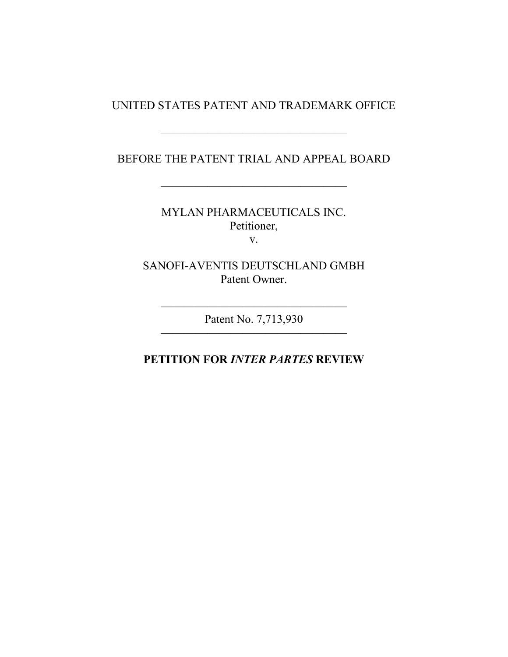#### UNITED STATES PATENT AND TRADEMARK OFFICE

#### BEFORE THE PATENT TRIAL AND APPEAL BOARD

————————————————

————————————————

MYLAN PHARMACEUTICALS INC. Petitioner, v.

SANOFI-AVENTIS DEUTSCHLAND GMBH Patent Owner.

———————————————— Patent No. 7,713,930 ————————————————

### **PETITION FOR** *INTER PARTES* **REVIEW**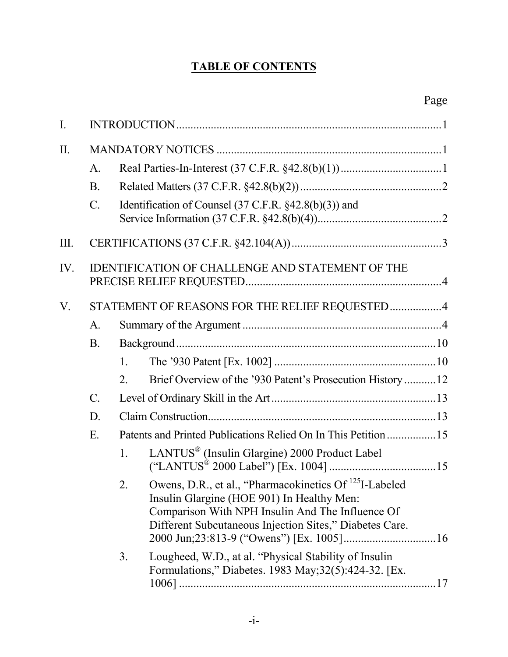# **TABLE OF CONTENTS**

### Page

| $\overline{I}$ . |                                                  |                  |                                                                                                                                                                                                                                 |
|------------------|--------------------------------------------------|------------------|---------------------------------------------------------------------------------------------------------------------------------------------------------------------------------------------------------------------------------|
| $\prod$ .        |                                                  |                  |                                                                                                                                                                                                                                 |
|                  | A.                                               |                  |                                                                                                                                                                                                                                 |
|                  | <b>B</b> .                                       |                  |                                                                                                                                                                                                                                 |
|                  | $\mathcal{C}$ .                                  |                  | Identification of Counsel $(37 \text{ C.F.R. } §42.8(b)(3))$ and                                                                                                                                                                |
| III.             |                                                  |                  |                                                                                                                                                                                                                                 |
| IV.              | IDENTIFICATION OF CHALLENGE AND STATEMENT OF THE |                  |                                                                                                                                                                                                                                 |
| V.               |                                                  |                  | STATEMENT OF REASONS FOR THE RELIEF REQUESTED4                                                                                                                                                                                  |
|                  | A.                                               |                  |                                                                                                                                                                                                                                 |
|                  | <b>B</b> .                                       |                  |                                                                                                                                                                                                                                 |
|                  |                                                  | 1.               |                                                                                                                                                                                                                                 |
|                  |                                                  | 2.               | Brief Overview of the '930 Patent's Prosecution History 12                                                                                                                                                                      |
|                  | $\mathcal{C}$ .                                  |                  |                                                                                                                                                                                                                                 |
|                  | D.                                               |                  |                                                                                                                                                                                                                                 |
|                  | E.                                               |                  | Patents and Printed Publications Relied On In This Petition 15                                                                                                                                                                  |
|                  |                                                  | 1                | LANTUS <sup>®</sup> (Insulin Glargine) 2000 Product Label                                                                                                                                                                       |
|                  |                                                  | $\overline{2}$ . | Owens, D.R., et al., "Pharmacokinetics Of <sup>125</sup> I-Labeled<br>Insulin Glargine (HOE 901) In Healthy Men:<br>Comparison With NPH Insulin And The Influence Of<br>Different Subcutaneous Injection Sites," Diabetes Care. |
|                  |                                                  | 3.               | Lougheed, W.D., at al. "Physical Stability of Insulin<br>Formulations," Diabetes. 1983 May; 32(5): 424-32. [Ex.                                                                                                                 |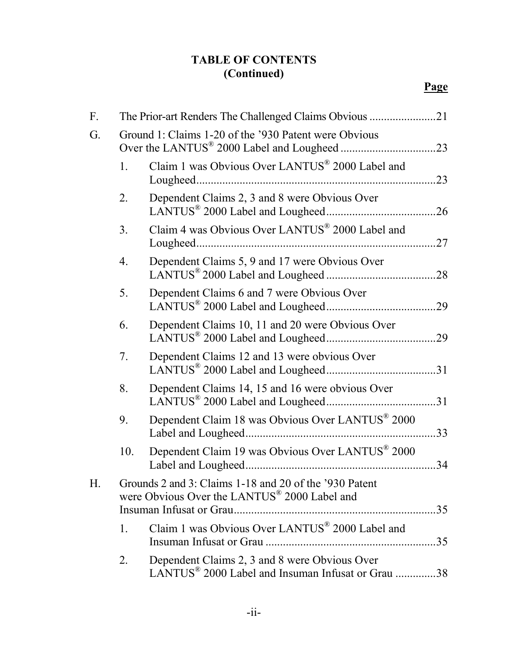| F. |                | The Prior-art Renders The Challenged Claims Obvious 21                                                             |     |
|----|----------------|--------------------------------------------------------------------------------------------------------------------|-----|
| G. |                | Ground 1: Claims 1-20 of the '930 Patent were Obvious                                                              |     |
|    | 1.             | Claim 1 was Obvious Over LANTUS® 2000 Label and                                                                    |     |
|    | 2.             | Dependent Claims 2, 3 and 8 were Obvious Over                                                                      |     |
|    | 3 <sub>1</sub> | Claim 4 was Obvious Over LANTUS <sup>®</sup> 2000 Label and                                                        | .27 |
|    | 4.             | Dependent Claims 5, 9 and 17 were Obvious Over                                                                     |     |
|    | 5.             | Dependent Claims 6 and 7 were Obvious Over                                                                         |     |
|    | 6.             | Dependent Claims 10, 11 and 20 were Obvious Over                                                                   |     |
|    | 7.             | Dependent Claims 12 and 13 were obvious Over                                                                       |     |
|    | 8.             | Dependent Claims 14, 15 and 16 were obvious Over                                                                   |     |
|    | 9.             | Dependent Claim 18 was Obvious Over LANTUS® 2000                                                                   | 33  |
|    | 10.            | Dependent Claim 19 was Obvious Over LANTUS <sup>®</sup> 2000                                                       | 34  |
| Н. |                | Grounds 2 and 3: Claims 1-18 and 20 of the '930 Patent<br>were Obvious Over the LANTUS <sup>®</sup> 2000 Label and |     |
|    | 1.             | Claim 1 was Obvious Over LANTUS® 2000 Label and                                                                    |     |
|    | 2.             | Dependent Claims 2, 3 and 8 were Obvious Over<br>LANTUS <sup>®</sup> 2000 Label and Insuman Infusat or Grau 38     |     |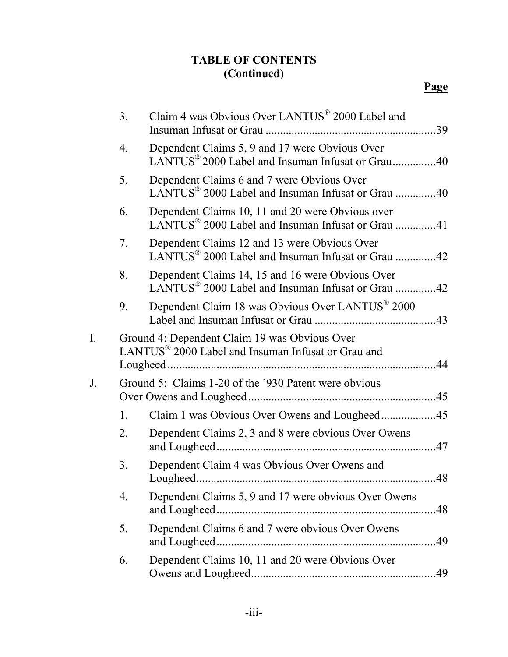|    | 3.               | Claim 4 was Obvious Over LANTUS <sup>®</sup> 2000 Label and                                                       |     |
|----|------------------|-------------------------------------------------------------------------------------------------------------------|-----|
|    | $\overline{4}$ . | Dependent Claims 5, 9 and 17 were Obvious Over<br>LANTUS <sup>®</sup> 2000 Label and Insuman Infusat or Grau40    |     |
|    | 5.               | Dependent Claims 6 and 7 were Obvious Over<br>LANTUS <sup>®</sup> 2000 Label and Insuman Infusat or Grau 40       |     |
|    | 6.               | Dependent Claims 10, 11 and 20 were Obvious over<br>LANTUS <sup>®</sup> 2000 Label and Insuman Infusat or Grau 41 |     |
|    | 7.               | Dependent Claims 12 and 13 were Obvious Over<br>LANTUS <sup>®</sup> 2000 Label and Insuman Infusat or Grau 42     |     |
|    | 8.               | Dependent Claims 14, 15 and 16 were Obvious Over<br>LANTUS <sup>®</sup> 2000 Label and Insuman Infusat or Grau 42 |     |
|    | 9.               | Dependent Claim 18 was Obvious Over LANTUS <sup>®</sup> 2000                                                      |     |
| I. |                  | Ground 4: Dependent Claim 19 was Obvious Over<br>LANTUS <sup>®</sup> 2000 Label and Insuman Infusat or Grau and   |     |
| J. |                  | Ground 5: Claims 1-20 of the '930 Patent were obvious                                                             |     |
|    | $\mathbf{1}$ .   |                                                                                                                   |     |
|    | 2.               | Dependent Claims 2, 3 and 8 were obvious Over Owens                                                               |     |
|    | 3.               | Dependent Claim 4 was Obvious Over Owens and<br>Lougheed                                                          | 48  |
|    | 4.               | Dependent Claims 5, 9 and 17 were obvious Over Owens                                                              | .48 |
|    | 5.               | Dependent Claims 6 and 7 were obvious Over Owens                                                                  |     |
|    | 6.               | Dependent Claims 10, 11 and 20 were Obvious Over                                                                  |     |
|    |                  |                                                                                                                   |     |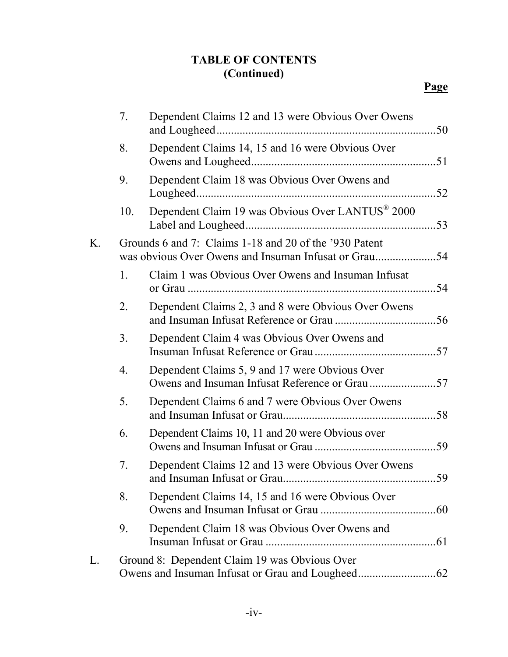|    | 7 <sub>1</sub> | Dependent Claims 12 and 13 were Obvious Over Owens                                                             |    |
|----|----------------|----------------------------------------------------------------------------------------------------------------|----|
|    | 8.             | Dependent Claims 14, 15 and 16 were Obvious Over                                                               |    |
|    | 9.             | Dependent Claim 18 was Obvious Over Owens and                                                                  |    |
|    | 10.            | Dependent Claim 19 was Obvious Over LANTUS® 2000                                                               |    |
| K. |                | Grounds 6 and 7: Claims 1-18 and 20 of the '930 Patent<br>was obvious Over Owens and Insuman Infusat or Grau54 |    |
|    | 1.             | Claim 1 was Obvious Over Owens and Insuman Infusat                                                             |    |
|    | 2.             | Dependent Claims 2, 3 and 8 were Obvious Over Owens                                                            |    |
|    | 3 <sub>1</sub> | Dependent Claim 4 was Obvious Over Owens and                                                                   |    |
|    | 4.             | Dependent Claims 5, 9 and 17 were Obvious Over                                                                 |    |
|    | 5.             | Dependent Claims 6 and 7 were Obvious Over Owens                                                               |    |
|    | 6.             | Dependent Claims 10, 11 and 20 were Obvious over                                                               |    |
|    | 7.             | Dependent Claims 12 and 13 were Obvious Over Owens                                                             | 59 |
|    | 8.             | Dependent Claims 14, 15 and 16 were Obvious Over                                                               |    |
|    | 9.             | Dependent Claim 18 was Obvious Over Owens and                                                                  |    |
| L. |                | Ground 8: Dependent Claim 19 was Obvious Over                                                                  |    |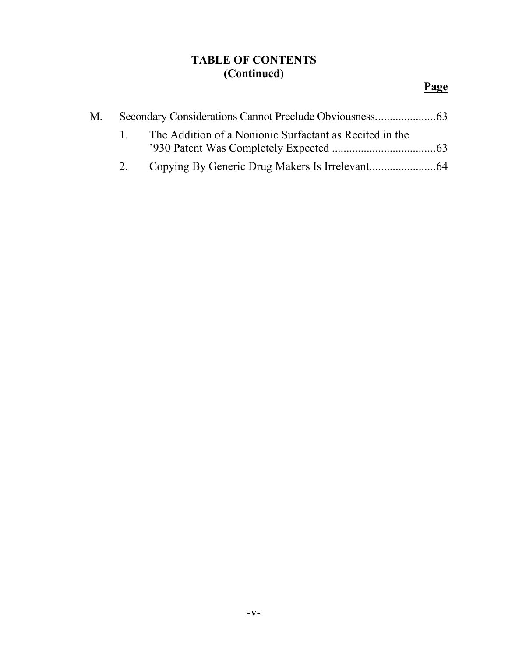| M. – |             |                                                            |  |
|------|-------------|------------------------------------------------------------|--|
|      |             | 1. The Addition of a Nonionic Surfactant as Recited in the |  |
|      |             |                                                            |  |
|      | $2^{\circ}$ |                                                            |  |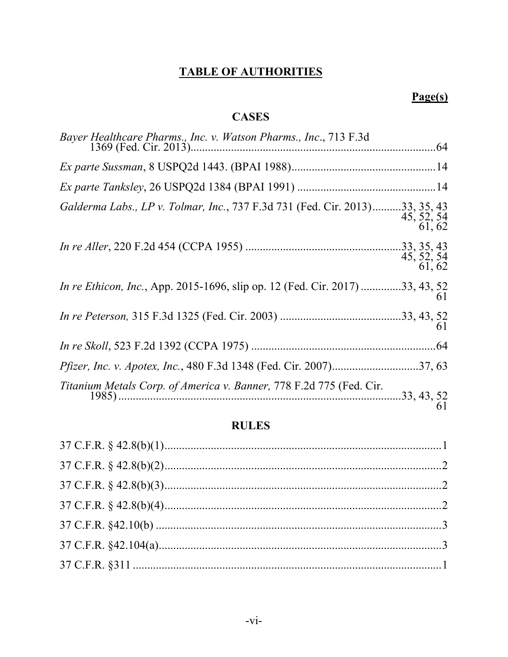# **TABLE OF AUTHORITIES**

# $Page(s)$

## **CASES**

| Galderma Labs., LP v. Tolmar, Inc., 737 F.3d 731 (Fed. Cir. 2013)33, 35, 43                                                                                      | $45, 52, 54$<br>61, 62 |
|------------------------------------------------------------------------------------------------------------------------------------------------------------------|------------------------|
|                                                                                                                                                                  | $45, 52, 54$<br>61, 62 |
| In re Ethicon, Inc., App. 2015-1696, slip op. 12 (Fed. Cir. 2017) 33, 43, 52                                                                                     | 61                     |
|                                                                                                                                                                  | 61                     |
|                                                                                                                                                                  |                        |
|                                                                                                                                                                  |                        |
| Titanium Metals Corp. of America v. Banner, 778 F.2d 775 (Fed. Cir.<br><i>um Metals Corp. of America v. Banner, 116 P.20 112 (Pol. 2n. 2n. 2n. 33, 43, 52</i> 61 |                        |

## **RULES**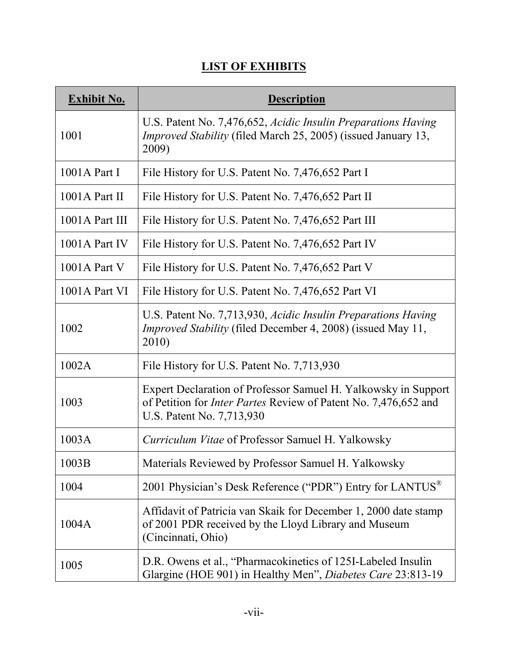# **LIST OF EXHIBITS**

| <b>Exhibit No.</b> | <b>Description</b>                                                                                                                                                    |
|--------------------|-----------------------------------------------------------------------------------------------------------------------------------------------------------------------|
| 1001               | U.S. Patent No. 7,476,652, Acidic Insulin Preparations Having<br><i>Improved Stability</i> (filed March 25, 2005) (issued January 13,<br>2009)                        |
| $1001A$ Part I     | File History for U.S. Patent No. 7,476,652 Part I                                                                                                                     |
| $1001A$ Part II    | File History for U.S. Patent No. 7,476,652 Part II                                                                                                                    |
| 1001A Part III     | File History for U.S. Patent No. 7,476,652 Part III                                                                                                                   |
| 1001A Part IV      | File History for U.S. Patent No. 7,476,652 Part IV                                                                                                                    |
| $1001A$ Part V     | File History for U.S. Patent No. 7,476,652 Part V                                                                                                                     |
| 1001A Part VI      | File History for U.S. Patent No. 7,476,652 Part VI                                                                                                                    |
| 1002               | U.S. Patent No. 7,713,930, Acidic Insulin Preparations Having<br><i>Improved Stability</i> (filed December 4, 2008) (issued May 11,<br>2010)                          |
| 1002A              | File History for U.S. Patent No. 7,713,930                                                                                                                            |
| 1003               | Expert Declaration of Professor Samuel H. Yalkowsky in Support<br>of Petition for <i>Inter Partes</i> Review of Patent No. 7,476,652 and<br>U.S. Patent No. 7,713,930 |
| 1003A              | Curriculum Vitae of Professor Samuel H. Yalkowsky                                                                                                                     |
| 1003B              | Materials Reviewed by Professor Samuel H. Yalkowsky                                                                                                                   |
| 1004               | 2001 Physician's Desk Reference ("PDR") Entry for LANTUS <sup>®</sup>                                                                                                 |
| 1004A              | Affidavit of Patricia van Skaik for December 1, 2000 date stamp<br>of 2001 PDR received by the Lloyd Library and Museum<br>(Cincinnati, Ohio)                         |
| 1005               | D.R. Owens et al., "Pharmacokinetics of 125I-Labeled Insulin<br>Glargine (HOE 901) in Healthy Men", Diabetes Care 23:813-19                                           |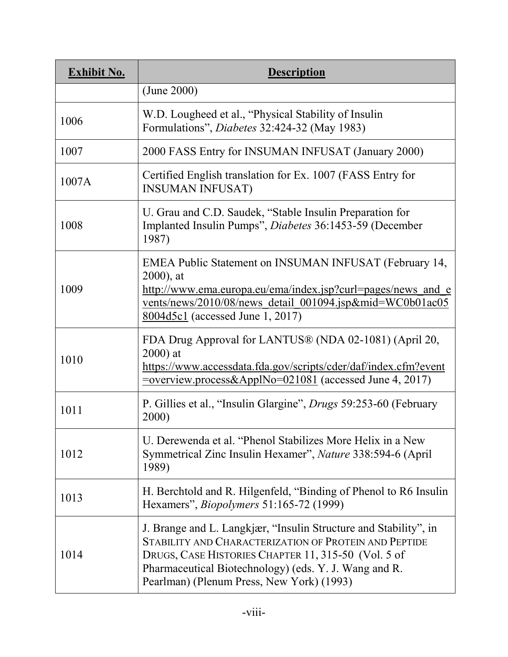| <b>Exhibit No.</b> | <b>Description</b>                                                                                                                                                                                                                                                                     |
|--------------------|----------------------------------------------------------------------------------------------------------------------------------------------------------------------------------------------------------------------------------------------------------------------------------------|
|                    | (June 2000)                                                                                                                                                                                                                                                                            |
| 1006               | W.D. Lougheed et al., "Physical Stability of Insulin<br>Formulations", <i>Diabetes</i> 32:424-32 (May 1983)                                                                                                                                                                            |
| 1007               | 2000 FASS Entry for INSUMAN INFUSAT (January 2000)                                                                                                                                                                                                                                     |
| 1007A              | Certified English translation for Ex. 1007 (FASS Entry for<br><b>INSUMAN INFUSAT)</b>                                                                                                                                                                                                  |
| 1008               | U. Grau and C.D. Saudek, "Stable Insulin Preparation for<br>Implanted Insulin Pumps", Diabetes 36:1453-59 (December<br>1987)                                                                                                                                                           |
| 1009               | EMEA Public Statement on INSUMAN INFUSAT (February 14,<br>$2000$ , at<br>http://www.ema.europa.eu/ema/index.jsp?curl=pages/news and e<br>vents/news/2010/08/news detail 001094.jsp∣=WC0b01ac05<br>$8004d5c1$ (accessed June 1, 2017)                                                   |
| 1010               | FDA Drug Approval for LANTUS® (NDA 02-1081) (April 20,<br>$2000$ ) at<br>https://www.accessdata.fda.gov/scripts/cder/daf/index.cfm?event                                                                                                                                               |
| 1011               | P. Gillies et al., "Insulin Glargine", <i>Drugs</i> 59:253-60 (February<br>2000)                                                                                                                                                                                                       |
| 1012               | U. Derewenda et al. "Phenol Stabilizes More Helix in a New<br>Symmetrical Zinc Insulin Hexamer", Nature 338:594-6 (April<br>1989)                                                                                                                                                      |
| 1013               | H. Berchtold and R. Hilgenfeld, "Binding of Phenol to R6 Insulin<br>Hexamers", <i>Biopolymers</i> 51:165-72 (1999)                                                                                                                                                                     |
| 1014               | J. Brange and L. Langkjær, "Insulin Structure and Stability", in<br>STABILITY AND CHARACTERIZATION OF PROTEIN AND PEPTIDE<br>DRUGS, CASE HISTORIES CHAPTER 11, 315-50 (Vol. 5 of<br>Pharmaceutical Biotechnology) (eds. Y. J. Wang and R.<br>Pearlman) (Plenum Press, New York) (1993) |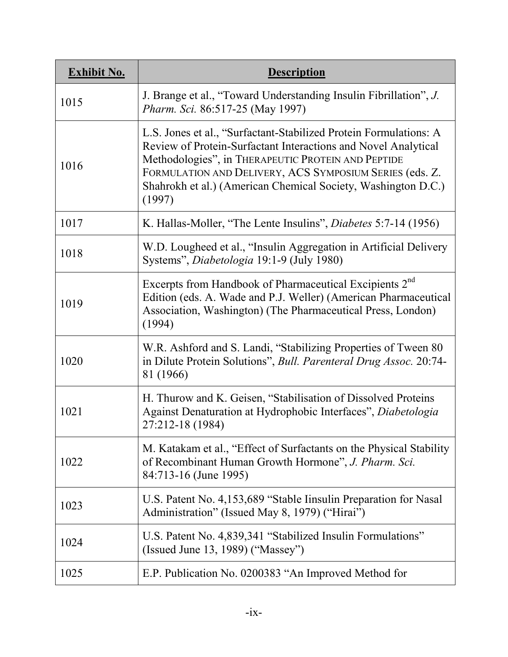| <b>Exhibit No.</b> | <b>Description</b>                                                                                                                                                                                                                                                                                                              |
|--------------------|---------------------------------------------------------------------------------------------------------------------------------------------------------------------------------------------------------------------------------------------------------------------------------------------------------------------------------|
| 1015               | J. Brange et al., "Toward Understanding Insulin Fibrillation", J.<br>Pharm. Sci. 86:517-25 (May 1997)                                                                                                                                                                                                                           |
| 1016               | L.S. Jones et al., "Surfactant-Stabilized Protein Formulations: A<br>Review of Protein-Surfactant Interactions and Novel Analytical<br>Methodologies", in THERAPEUTIC PROTEIN AND PEPTIDE<br>FORMULATION AND DELIVERY, ACS SYMPOSIUM SERIES (eds. Z.<br>Shahrokh et al.) (American Chemical Society, Washington D.C.)<br>(1997) |
| 1017               | K. Hallas-Moller, "The Lente Insulins", <i>Diabetes</i> 5:7-14 (1956)                                                                                                                                                                                                                                                           |
| 1018               | W.D. Lougheed et al., "Insulin Aggregation in Artificial Delivery<br>Systems", Diabetologia 19:1-9 (July 1980)                                                                                                                                                                                                                  |
| 1019               | Excerpts from Handbook of Pharmaceutical Excipients 2 <sup>nd</sup><br>Edition (eds. A. Wade and P.J. Weller) (American Pharmaceutical<br>Association, Washington) (The Pharmaceutical Press, London)<br>(1994)                                                                                                                 |
| 1020               | W.R. Ashford and S. Landi, "Stabilizing Properties of Tween 80<br>in Dilute Protein Solutions", Bull. Parenteral Drug Assoc. 20:74-<br>81 (1966)                                                                                                                                                                                |
| 1021               | H. Thurow and K. Geisen, "Stabilisation of Dissolved Proteins<br>Against Denaturation at Hydrophobic Interfaces", Diabetologia<br>27:212-18 (1984)                                                                                                                                                                              |
| 1022               | M. Katakam et al., "Effect of Surfactants on the Physical Stability<br>of Recombinant Human Growth Hormone", J. Pharm. Sci.<br>84:713-16 (June 1995)                                                                                                                                                                            |
| 1023               | U.S. Patent No. 4,153,689 "Stable Iinsulin Preparation for Nasal<br>Administration" (Issued May 8, 1979) ("Hirai")                                                                                                                                                                                                              |
| 1024               | U.S. Patent No. 4,839,341 "Stabilized Insulin Formulations"<br>(Issued June 13, 1989) ("Massey")                                                                                                                                                                                                                                |
| 1025               | E.P. Publication No. 0200383 "An Improved Method for                                                                                                                                                                                                                                                                            |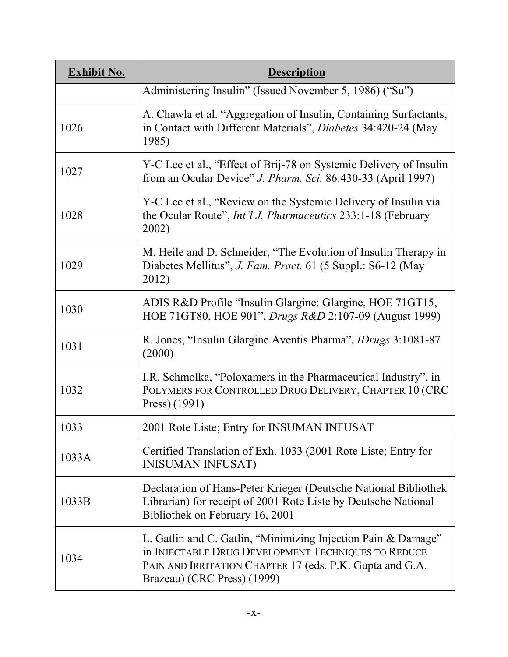| <b>Exhibit No.</b> | <b>Description</b>                                                                                                                                                                                              |
|--------------------|-----------------------------------------------------------------------------------------------------------------------------------------------------------------------------------------------------------------|
|                    | Administering Insulin" (Issued November 5, 1986) ("Su")                                                                                                                                                         |
| 1026               | A. Chawla et al. "Aggregation of Insulin, Containing Surfactants,<br>in Contact with Different Materials", Diabetes 34:420-24 (May<br>1985)                                                                     |
| 1027               | Y-C Lee et al., "Effect of Brij-78 on Systemic Delivery of Insulin<br>from an Ocular Device" J. Pharm. Sci. 86:430-33 (April 1997)                                                                              |
| 1028               | Y-C Lee et al., "Review on the Systemic Delivery of Insulin via<br>the Ocular Route", <i>Int'l J. Pharmaceutics</i> 233:1-18 (February<br>2002)                                                                 |
| 1029               | M. Heile and D. Schneider, "The Evolution of Insulin Therapy in<br>Diabetes Mellitus", J. Fam. Pract. 61 (5 Suppl.: S6-12 (May<br>2012)                                                                         |
| 1030               | ADIS R&D Profile "Insulin Glargine: Glargine, HOE 71GT15,<br>HOE 71GT80, HOE 901", <i>Drugs R&amp;D</i> 2:107-09 (August 1999)                                                                                  |
| 1031               | R. Jones, "Insulin Glargine Aventis Pharma", <i>IDrugs</i> 3:1081-87<br>(2000)                                                                                                                                  |
| 1032               | I.R. Schmolka, "Poloxamers in the Pharmaceutical Industry", in<br>POLYMERS FOR CONTROLLED DRUG DELIVERY, CHAPTER 10 (CRC<br>Press) (1991)                                                                       |
| 1033               | 2001 Rote Liste; Entry for INSUMAN INFUSAT                                                                                                                                                                      |
| 1033A              | Certified Translation of Exh. 1033 (2001 Rote Liste; Entry for<br><b>INISUMAN INFUSAT)</b>                                                                                                                      |
| 1033B              | Declaration of Hans-Peter Krieger (Deutsche National Bibliothek<br>Librarian) for receipt of 2001 Rote Liste by Deutsche National<br>Bibliothek on February 16, 2001                                            |
| 1034               | L. Gatlin and C. Gatlin, "Minimizing Injection Pain & Damage"<br>in INJECTABLE DRUG DEVELOPMENT TECHNIQUES TO REDUCE<br>PAIN AND IRRITATION CHAPTER 17 (eds. P.K. Gupta and G.A.<br>Brazeau) (CRC Press) (1999) |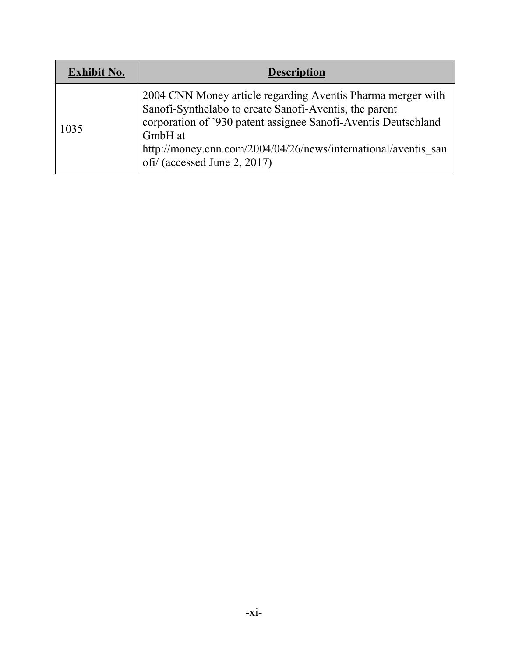| <b>Exhibit No.</b> | <b>Description</b>                                                                                                                                                                                                                                                                                   |
|--------------------|------------------------------------------------------------------------------------------------------------------------------------------------------------------------------------------------------------------------------------------------------------------------------------------------------|
| 1035               | 2004 CNN Money article regarding Aventis Pharma merger with<br>Sanofi-Synthelabo to create Sanofi-Aventis, the parent<br>corporation of '930 patent assignee Sanofi-Aventis Deutschland<br>GmbH at<br>http://money.cnn.com/2004/04/26/news/international/aventis san<br>ofi/ (accessed June 2, 2017) |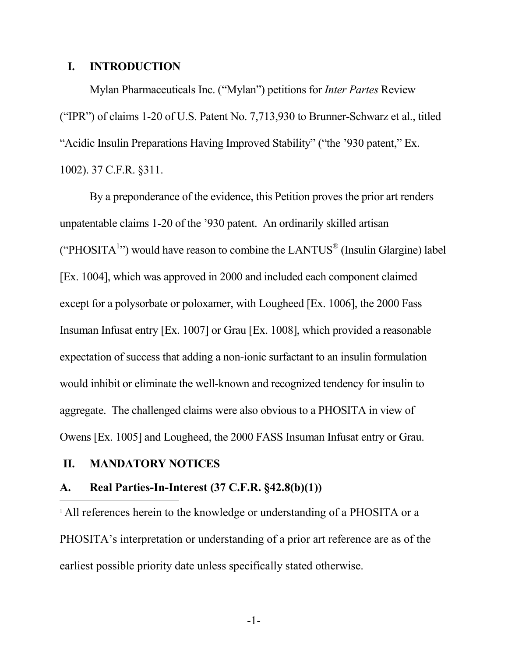#### **I. INTRODUCTION**

Mylan Pharmaceuticals Inc. ("Mylan") petitions for *Inter Partes* Review ("IPR") of claims 1-20 of U.S. Patent No. 7,713,930 to Brunner-Schwarz et al., titled "Acidic Insulin Preparations Having Improved Stability" ("the '930 patent," Ex. 1002). 37 C.F.R. §311.

By a preponderance of the evidence, this Petition proves the prior art renders unpatentable claims 1-20 of the '930 patent. An ordinarily skilled artisan ("PHOSITA<sup>1</sup>") would have reason to combine the LANTUS<sup>®</sup> (Insulin Glargine) label [Ex. 1004], which was approved in 2000 and included each component claimed except for a polysorbate or poloxamer, with Lougheed [Ex. 1006], the 2000 Fass Insuman Infusat entry [Ex. 1007] or Grau [Ex. 1008], which provided a reasonable expectation of success that adding a non-ionic surfactant to an insulin formulation would inhibit or eliminate the well-known and recognized tendency for insulin to aggregate. The challenged claims were also obvious to a PHOSITA in view of Owens [Ex. 1005] and Lougheed, the 2000 FASS Insuman Infusat entry or Grau.

#### **II. MANDATORY NOTICES**

#### **A. Real Parties-In-Interest (37 C.F.R. §42.8(b)(1))**

<sup>1</sup> All references herein to the knowledge or understanding of a PHOSITA or a PHOSITA's interpretation or understanding of a prior art reference are as of the earliest possible priority date unless specifically stated otherwise.

-1-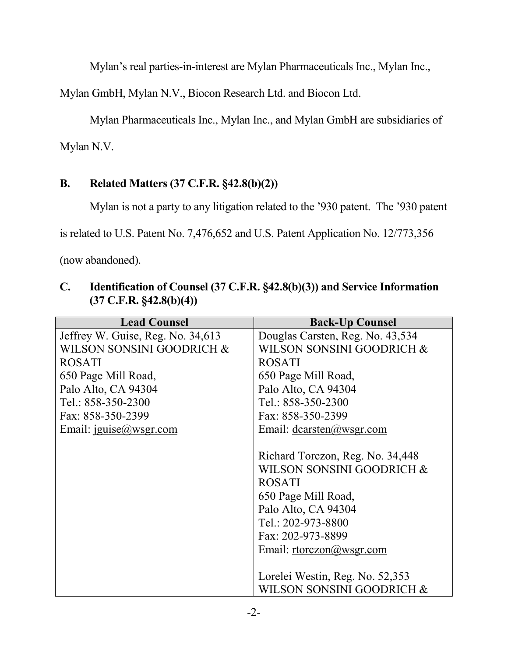Mylan's real parties-in-interest are Mylan Pharmaceuticals Inc., Mylan Inc.,

Mylan GmbH, Mylan N.V., Biocon Research Ltd. and Biocon Ltd.

Mylan Pharmaceuticals Inc., Mylan Inc., and Mylan GmbH are subsidiaries of

Mylan N.V.

# **B. Related Matters (37 C.F.R. §42.8(b)(2))**

Mylan is not a party to any litigation related to the '930 patent. The '930 patent

is related to U.S. Patent No. 7,476,652 and U.S. Patent Application No. 12/773,356

(now abandoned).

| <b>Lead Counsel</b>               | <b>Back-Up Counsel</b>           |  |  |
|-----------------------------------|----------------------------------|--|--|
| Jeffrey W. Guise, Reg. No. 34,613 | Douglas Carsten, Reg. No. 43,534 |  |  |
|                                   |                                  |  |  |
| WILSON SONSINI GOODRICH &         | WILSON SONSINI GOODRICH &        |  |  |
| <b>ROSATI</b>                     | <b>ROSATI</b>                    |  |  |
| 650 Page Mill Road,               | 650 Page Mill Road,              |  |  |
| Palo Alto, CA 94304               | Palo Alto, CA 94304              |  |  |
| Tel.: 858-350-2300                | Tel.: 858-350-2300               |  |  |
| Fax: 858-350-2399                 | Fax: 858-350-2399                |  |  |
| Email: $iguise@wsgr.com$          | Email: $dcarsten@wsgr.com$       |  |  |
|                                   |                                  |  |  |
|                                   | Richard Torczon, Reg. No. 34,448 |  |  |
|                                   | WILSON SONSINI GOODRICH &        |  |  |
|                                   | <b>ROSATI</b>                    |  |  |
|                                   | 650 Page Mill Road,              |  |  |
|                                   | Palo Alto, CA 94304              |  |  |
|                                   | Tel.: 202-973-8800               |  |  |
|                                   | Fax: 202-973-8899                |  |  |
|                                   | Email: $rtorczon@wsgr.com$       |  |  |
|                                   |                                  |  |  |
|                                   | Lorelei Westin, Reg. No. 52,353  |  |  |
|                                   | WILSON SONSINI GOODRICH &        |  |  |

### **C. Identification of Counsel (37 C.F.R. §42.8(b)(3)) and Service Information (37 C.F.R. §42.8(b)(4))**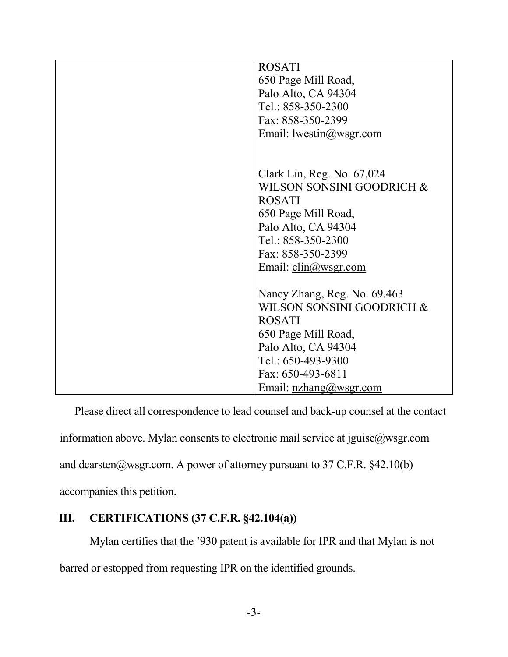| <b>ROSATI</b><br>650 Page Mill Road,<br>Palo Alto, CA 94304<br>Tel.: 858-350-2300<br>Fax: 858-350-2399<br>Email: $lwestin@wsgr.com$                                                                       |
|-----------------------------------------------------------------------------------------------------------------------------------------------------------------------------------------------------------|
| Clark Lin, Reg. No. 67,024<br>WILSON SONSINI GOODRICH &<br><b>ROSATI</b><br>650 Page Mill Road,<br>Palo Alto, CA 94304<br>Tel.: 858-350-2300<br>Fax: 858-350-2399<br>Email: $\text{clip}(\omega$ wsgr.com |
| Nancy Zhang, Reg. No. 69,463<br>WILSON SONSINI GOODRICH &<br><b>ROSATI</b><br>650 Page Mill Road,<br>Palo Alto, CA 94304<br>Tel.: 650-493-9300<br>Fax: 650-493-6811<br>Email: $nzhang@wsgr.com$           |

Please direct all correspondence to lead counsel and back-up counsel at the contact information above. Mylan consents to electronic mail service at jguise@wsgr.com and dcarsten@wsgr.com. A power of attorney pursuant to 37 C.F.R.  $§42.10(b)$ accompanies this petition.

### **III. CERTIFICATIONS (37 C.F.R. §42.104(a))**

Mylan certifies that the '930 patent is available for IPR and that Mylan is not barred or estopped from requesting IPR on the identified grounds.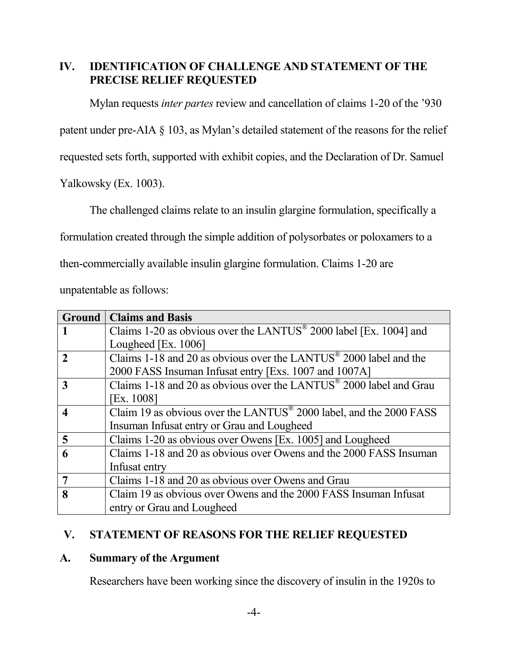### **IV. IDENTIFICATION OF CHALLENGE AND STATEMENT OF THE PRECISE RELIEF REQUESTED**

Mylan requests *inter partes* review and cancellation of claims 1-20 of the '930

patent under pre-AIA § 103, as Mylan's detailed statement of the reasons for the relief

requested sets forth, supported with exhibit copies, and the Declaration of Dr. Samuel

Yalkowsky (Ex. 1003).

The challenged claims relate to an insulin glargine formulation, specifically a

formulation created through the simple addition of polysorbates or poloxamers to a

then-commercially available insulin glargine formulation. Claims 1-20 are

unpatentable as follows:

|                | <b>Ground   Claims and Basis</b>                                               |
|----------------|--------------------------------------------------------------------------------|
|                | Claims 1-20 as obvious over the LANTUS <sup>®</sup> 2000 label [Ex. 1004] and  |
|                | Lougheed [Ex. 1006]                                                            |
| $\mathbf{2}$   | Claims 1-18 and 20 as obvious over the LANTUS <sup>®</sup> 2000 label and the  |
|                | 2000 FASS Insuman Infusat entry [Exs. 1007 and 1007A]                          |
| 3              | Claims 1-18 and 20 as obvious over the LANTUS <sup>®</sup> 2000 label and Grau |
|                | [Ex. 1008]                                                                     |
| 4              | Claim 19 as obvious over the LANTUS <sup>®</sup> 2000 label, and the 2000 FASS |
|                | Insuman Infusat entry or Grau and Lougheed                                     |
| 5              | Claims 1-20 as obvious over Owens [Ex. 1005] and Lougheed                      |
| 6              | Claims 1-18 and 20 as obvious over Owens and the 2000 FASS Insuman             |
|                | Infusat entry                                                                  |
| $\overline{7}$ | Claims 1-18 and 20 as obvious over Owens and Grau                              |
| 8              | Claim 19 as obvious over Owens and the 2000 FASS Insuman Infusat               |
|                | entry or Grau and Lougheed                                                     |

### **V. STATEMENT OF REASONS FOR THE RELIEF REQUESTED**

#### **A. Summary of the Argument**

Researchers have been working since the discovery of insulin in the 1920s to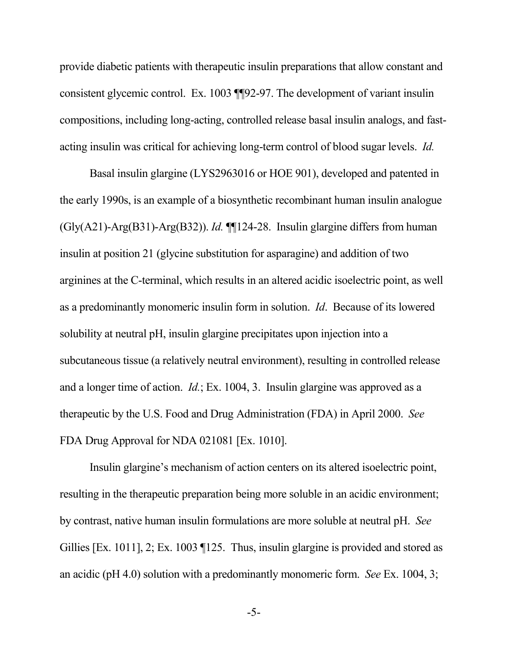provide diabetic patients with therapeutic insulin preparations that allow constant and consistent glycemic control. Ex. 1003 ¶¶92-97. The development of variant insulin compositions, including long-acting, controlled release basal insulin analogs, and fastacting insulin was critical for achieving long-term control of blood sugar levels. *Id.* 

Basal insulin glargine (LYS2963016 or HOE 901), developed and patented in the early 1990s, is an example of a biosynthetic recombinant human insulin analogue (Gly(A21)-Arg(B31)-Arg(B32)). *Id.* ¶¶124-28. Insulin glargine differs from human insulin at position 21 (glycine substitution for asparagine) and addition of two arginines at the C-terminal, which results in an altered acidic isoelectric point, as well as a predominantly monomeric insulin form in solution. *Id*. Because of its lowered solubility at neutral pH, insulin glargine precipitates upon injection into a subcutaneous tissue (a relatively neutral environment), resulting in controlled release and a longer time of action. *Id.*; Ex. 1004, 3. Insulin glargine was approved as a therapeutic by the U.S. Food and Drug Administration (FDA) in April 2000. *See*  FDA Drug Approval for NDA 021081 [Ex. 1010].

Insulin glargine's mechanism of action centers on its altered isoelectric point, resulting in the therapeutic preparation being more soluble in an acidic environment; by contrast, native human insulin formulations are more soluble at neutral pH. *See*  Gillies [Ex. 1011], 2; Ex. 1003 [125. Thus, insulin glargine is provided and stored as an acidic (pH 4.0) solution with a predominantly monomeric form. *See* Ex. 1004, 3;

-5-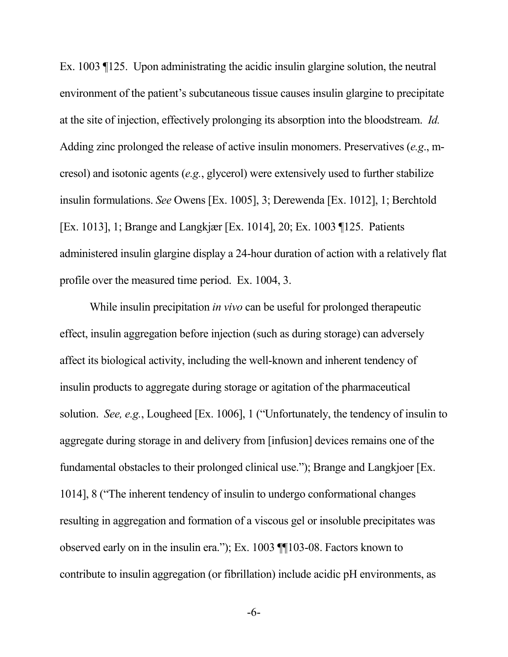Ex. 1003 ¶125. Upon administrating the acidic insulin glargine solution, the neutral environment of the patient's subcutaneous tissue causes insulin glargine to precipitate at the site of injection, effectively prolonging its absorption into the bloodstream. *Id.* Adding zinc prolonged the release of active insulin monomers. Preservatives (*e.g*., mcresol) and isotonic agents (*e.g.*, glycerol) were extensively used to further stabilize insulin formulations. *See* Owens [Ex. 1005], 3; Derewenda [Ex. 1012], 1; Berchtold [Ex. 1013], 1; Brange and Langkjær [Ex. 1014], 20; Ex. 1003 ¶125. Patients administered insulin glargine display a 24-hour duration of action with a relatively flat profile over the measured time period. Ex. 1004, 3.

While insulin precipitation *in vivo* can be useful for prolonged therapeutic effect, insulin aggregation before injection (such as during storage) can adversely affect its biological activity, including the well-known and inherent tendency of insulin products to aggregate during storage or agitation of the pharmaceutical solution. *See, e.g.*, Lougheed [Ex. 1006], 1 ("Unfortunately, the tendency of insulin to aggregate during storage in and delivery from [infusion] devices remains one of the fundamental obstacles to their prolonged clinical use."); Brange and Langkjoer [Ex. 1014], 8 ("The inherent tendency of insulin to undergo conformational changes resulting in aggregation and formation of a viscous gel or insoluble precipitates was observed early on in the insulin era."); Ex. 1003 ¶¶103-08. Factors known to contribute to insulin aggregation (or fibrillation) include acidic pH environments, as

-6-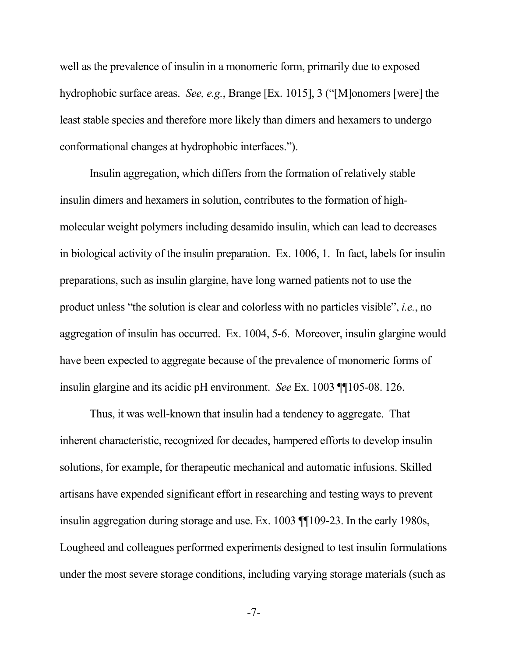well as the prevalence of insulin in a monomeric form, primarily due to exposed hydrophobic surface areas. *See, e.g.*, Brange [Ex. 1015], 3 ("[M]onomers [were] the least stable species and therefore more likely than dimers and hexamers to undergo conformational changes at hydrophobic interfaces.").

Insulin aggregation, which differs from the formation of relatively stable insulin dimers and hexamers in solution, contributes to the formation of highmolecular weight polymers including desamido insulin, which can lead to decreases in biological activity of the insulin preparation. Ex. 1006, 1. In fact, labels for insulin preparations, such as insulin glargine, have long warned patients not to use the product unless "the solution is clear and colorless with no particles visible", *i.e.*, no aggregation of insulin has occurred. Ex. 1004, 5-6. Moreover, insulin glargine would have been expected to aggregate because of the prevalence of monomeric forms of insulin glargine and its acidic pH environment. *See* Ex. 1003 ¶¶105-08. 126.

Thus, it was well-known that insulin had a tendency to aggregate. That inherent characteristic, recognized for decades, hampered efforts to develop insulin solutions, for example, for therapeutic mechanical and automatic infusions. Skilled artisans have expended significant effort in researching and testing ways to prevent insulin aggregation during storage and use. Ex. 1003 ¶¶109-23. In the early 1980s, Lougheed and colleagues performed experiments designed to test insulin formulations under the most severe storage conditions, including varying storage materials (such as

-7-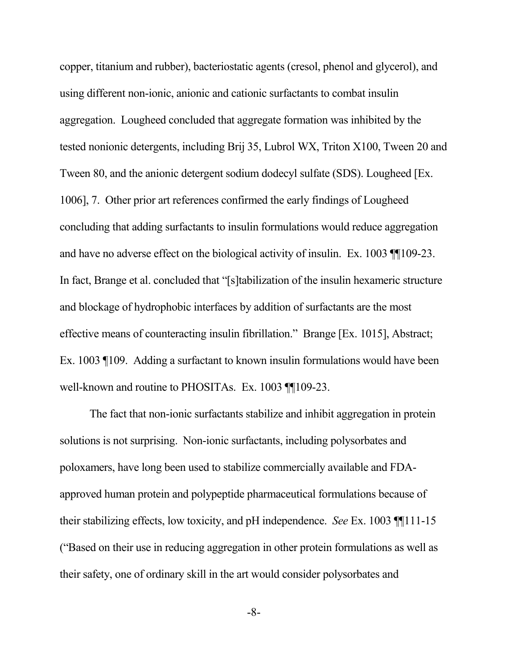copper, titanium and rubber), bacteriostatic agents (cresol, phenol and glycerol), and using different non-ionic, anionic and cationic surfactants to combat insulin aggregation. Lougheed concluded that aggregate formation was inhibited by the tested nonionic detergents, including Brij 35, Lubrol WX, Triton X100, Tween 20 and Tween 80, and the anionic detergent sodium dodecyl sulfate (SDS). Lougheed [Ex. 1006], 7. Other prior art references confirmed the early findings of Lougheed concluding that adding surfactants to insulin formulations would reduce aggregation and have no adverse effect on the biological activity of insulin. Ex. 1003 ¶¶109-23. In fact, Brange et al. concluded that "[s]tabilization of the insulin hexameric structure and blockage of hydrophobic interfaces by addition of surfactants are the most effective means of counteracting insulin fibrillation." Brange [Ex. 1015], Abstract; Ex. 1003 ¶109. Adding a surfactant to known insulin formulations would have been well-known and routine to PHOSITAs. Ex. 1003 [[109-23.]

The fact that non-ionic surfactants stabilize and inhibit aggregation in protein solutions is not surprising. Non-ionic surfactants, including polysorbates and poloxamers, have long been used to stabilize commercially available and FDAapproved human protein and polypeptide pharmaceutical formulations because of their stabilizing effects, low toxicity, and pH independence. *See* Ex. 1003 ¶¶111-15 ("Based on their use in reducing aggregation in other protein formulations as well as their safety, one of ordinary skill in the art would consider polysorbates and

-8-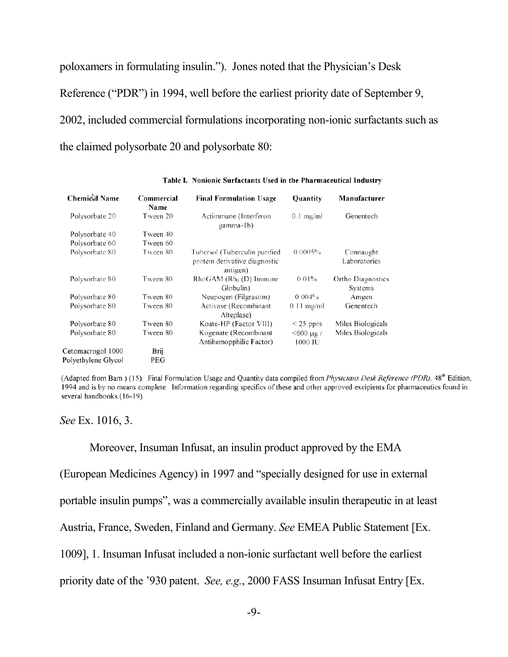poloxamers in formulating insulin."). Jones noted that the Physician's Desk Reference ("PDR") in 1994, well before the earliest priority date of September 9, 2002, included commercial formulations incorporating non-ionic surfactants such as the claimed polysorbate 20 and polysorbate 80:

| <b>Chemical Name</b> | Commercial<br>Name | <b>Final Formulation Usage</b>                                             | <b>Quantity</b>         | Manufacturer                 |
|----------------------|--------------------|----------------------------------------------------------------------------|-------------------------|------------------------------|
| Polysorbate 20       | Tween 20           | Actimmune (Interferon<br>gamma-1b)                                         | $0.1$ mg/ml             | Genentech                    |
| Polysorbate 40       | Tween 40           |                                                                            |                         |                              |
| Polysorbate 60       | Tween 60           |                                                                            |                         |                              |
| Polysorbate 80       | Tween 80           | Tubersol (Tuberculin purified<br>protein derivative diagnostic<br>antigen) | 0.0005%                 | Connaught<br>Laboratories    |
| Polysorbate 80       | Tween 80           | $Rh$ o $GAM$ ( $Rh0$ (D) Immune<br>Globulin)                               | 0.01%                   | Ortho Diagnostics<br>Systems |
| Polysorbate 80       | Tween 80           | Neupogen (Filgrastim)                                                      | 0.004%                  | Amgen                        |
| Polysorbate 80       | Tween 80           | Activase (Recombinant<br>Alteplase)                                        | $0.11$ mg/ml            | Genentech                    |
| Polysorbate 80       | Tween 80           | Koate-HP (Factor VIII)                                                     | $<$ 25 ppm              | Miles Biologicals            |
| Polysorbate 80       | Tween 80           | Kogenate (Recombinant<br>Antihemopphilic Factor)                           | $<$ 600 µg /<br>1000 IU | Miles Biologicals            |
| Cetomacrogol 1000    | Brij               |                                                                            |                         |                              |
| Polyethylene Glycol  | PEG                |                                                                            |                         |                              |

Table I. Nonionic Surfactants Used in the Pharmaceutical Industry

(Adapted from Bam) (15). Final Formulation Usage and Quantity data compiled from *Physicians Desk Reference (PDR)*, 48<sup>th</sup> Edition, 1994 and is by no means complete. Information regarding specifics of these and other approved excipients for pharmaceutics found in several handbooks (16-19).

*See* Ex. 1016, 3.

Moreover, Insuman Infusat, an insulin product approved by the EMA

(European Medicines Agency) in 1997 and "specially designed for use in external

portable insulin pumps", was a commercially available insulin therapeutic in at least

Austria, France, Sweden, Finland and Germany. *See* EMEA Public Statement [Ex.

1009], 1. Insuman Infusat included a non-ionic surfactant well before the earliest

priority date of the '930 patent. *See, e.g.*, 2000 FASS Insuman Infusat Entry [Ex.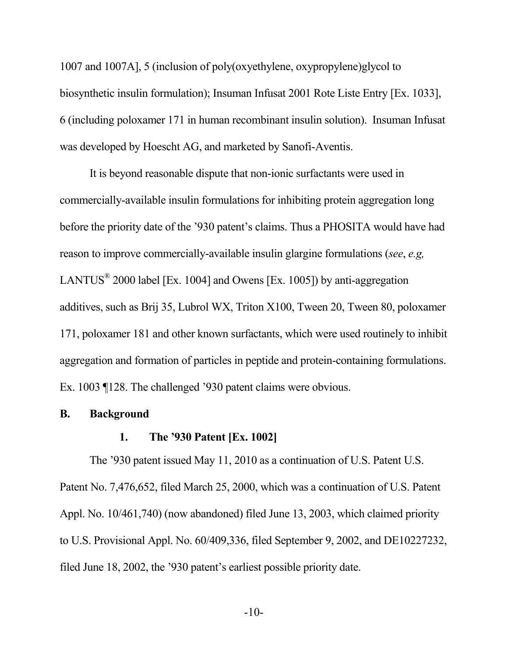1007 and 1007A], 5 (inclusion of poly(oxyethylene, oxypropylene)glycol to biosynthetic insulin formulation); Insuman Infusat 2001 Rote Liste Entry [Ex. 1033], 6 (including poloxamer 171 in human recombinant insulin solution). Insuman Infusat was developed by Hoescht AG, and marketed by Sanofi-Aventis.

It is beyond reasonable dispute that non-ionic surfactants were used in commercially-available insulin formulations for inhibiting protein aggregation long before the priority date of the '930 patent's claims. Thus a PHOSITA would have had reason to improve commercially-available insulin glargine formulations (*see*, *e.g,*  LANTUS<sup>®</sup> 2000 label [Ex. 1004] and Owens [Ex. 1005]) by anti-aggregation additives, such as Brij 35, Lubrol WX, Triton X100, Tween 20, Tween 80, poloxamer 171, poloxamer 181 and other known surfactants, which were used routinely to inhibit aggregation and formation of particles in peptide and protein-containing formulations. Ex. 1003 ¶128. The challenged '930 patent claims were obvious.

#### **B. Background**

#### **1. The '930 Patent [Ex. 1002]**

The '930 patent issued May 11, 2010 as a continuation of U.S. Patent U.S. Patent No. 7,476,652, filed March 25, 2000, which was a continuation of U.S. Patent Appl. No. 10/461,740) (now abandoned) filed June 13, 2003, which claimed priority to U.S. Provisional Appl. No. 60/409,336, filed September 9, 2002, and DE10227232, filed June 18, 2002, the '930 patent's earliest possible priority date.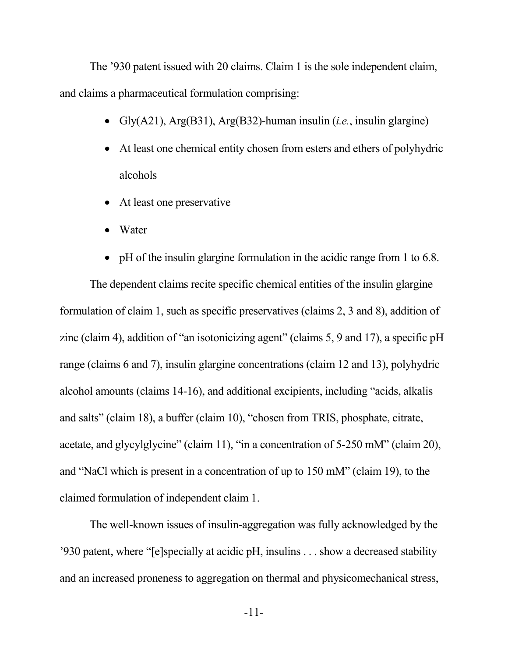The '930 patent issued with 20 claims. Claim 1 is the sole independent claim, and claims a pharmaceutical formulation comprising:

- Gly(A21), Arg(B31), Arg(B32)-human insulin (*i.e.*, insulin glargine)
- At least one chemical entity chosen from esters and ethers of polyhydric alcohols
- At least one preservative
- Water
- pH of the insulin glargine formulation in the acidic range from 1 to 6.8.

The dependent claims recite specific chemical entities of the insulin glargine formulation of claim 1, such as specific preservatives (claims 2, 3 and 8), addition of zinc (claim 4), addition of "an isotonicizing agent" (claims 5, 9 and 17), a specific pH range (claims 6 and 7), insulin glargine concentrations (claim 12 and 13), polyhydric alcohol amounts (claims 14-16), and additional excipients, including "acids, alkalis and salts" (claim 18), a buffer (claim 10), "chosen from TRIS, phosphate, citrate, acetate, and glycylglycine" (claim 11), "in a concentration of 5-250 mM" (claim 20), and "NaCl which is present in a concentration of up to 150 mM" (claim 19), to the claimed formulation of independent claim 1.

The well-known issues of insulin-aggregation was fully acknowledged by the '930 patent, where "[e]specially at acidic pH, insulins . . . show a decreased stability and an increased proneness to aggregation on thermal and physicomechanical stress,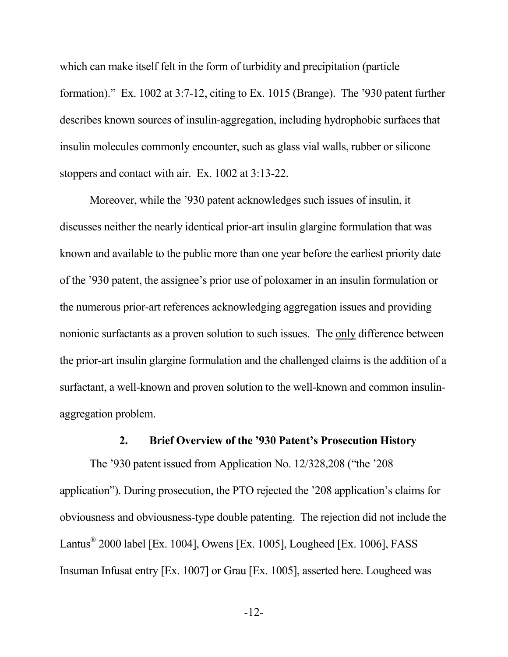which can make itself felt in the form of turbidity and precipitation (particle formation)." Ex. 1002 at 3:7-12, citing to Ex. 1015 (Brange). The '930 patent further describes known sources of insulin-aggregation, including hydrophobic surfaces that insulin molecules commonly encounter, such as glass vial walls, rubber or silicone stoppers and contact with air. Ex. 1002 at 3:13-22.

Moreover, while the '930 patent acknowledges such issues of insulin, it discusses neither the nearly identical prior-art insulin glargine formulation that was known and available to the public more than one year before the earliest priority date of the '930 patent, the assignee's prior use of poloxamer in an insulin formulation or the numerous prior-art references acknowledging aggregation issues and providing nonionic surfactants as a proven solution to such issues. The only difference between the prior-art insulin glargine formulation and the challenged claims is the addition of a surfactant, a well-known and proven solution to the well-known and common insulinaggregation problem.

### **2. Brief Overview of the '930 Patent's Prosecution History**

The '930 patent issued from Application No. 12/328,208 ("the '208 application"). During prosecution, the PTO rejected the '208 application's claims for obviousness and obviousness-type double patenting. The rejection did not include the Lantus® 2000 label [Ex. 1004], Owens [Ex. 1005], Lougheed [Ex. 1006], FASS Insuman Infusat entry [Ex. 1007] or Grau [Ex. 1005], asserted here. Lougheed was

-12-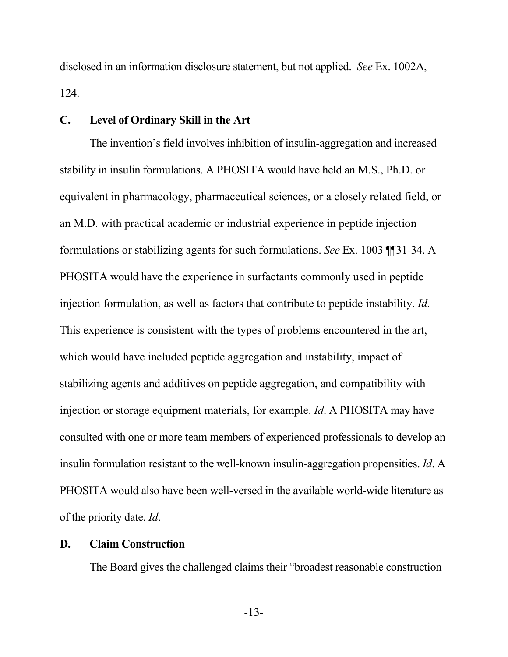disclosed in an information disclosure statement, but not applied. *See* Ex. 1002A, 124.

#### **C. Level of Ordinary Skill in the Art**

The invention's field involves inhibition of insulin-aggregation and increased stability in insulin formulations. A PHOSITA would have held an M.S., Ph.D. or equivalent in pharmacology, pharmaceutical sciences, or a closely related field, or an M.D. with practical academic or industrial experience in peptide injection formulations or stabilizing agents for such formulations. *See* Ex. 1003 ¶¶31-34. A PHOSITA would have the experience in surfactants commonly used in peptide injection formulation, as well as factors that contribute to peptide instability. *Id*. This experience is consistent with the types of problems encountered in the art, which would have included peptide aggregation and instability, impact of stabilizing agents and additives on peptide aggregation, and compatibility with injection or storage equipment materials, for example. *Id*. A PHOSITA may have consulted with one or more team members of experienced professionals to develop an insulin formulation resistant to the well-known insulin-aggregation propensities. *Id*. A PHOSITA would also have been well-versed in the available world-wide literature as of the priority date. *Id*.

#### **D. Claim Construction**

The Board gives the challenged claims their "broadest reasonable construction

-13-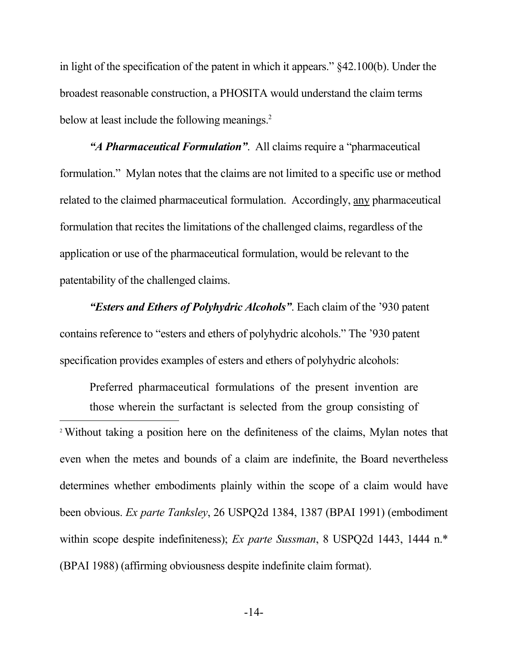in light of the specification of the patent in which it appears." §42.100(b). Under the broadest reasonable construction, a PHOSITA would understand the claim terms below at least include the following meanings.<sup>2</sup>

*"A Pharmaceutical Formulation"*. All claims require a "pharmaceutical formulation." Mylan notes that the claims are not limited to a specific use or method related to the claimed pharmaceutical formulation. Accordingly, any pharmaceutical formulation that recites the limitations of the challenged claims, regardless of the application or use of the pharmaceutical formulation, would be relevant to the patentability of the challenged claims.

*"Esters and Ethers of Polyhydric Alcohols"*. Each claim of the '930 patent contains reference to "esters and ethers of polyhydric alcohols." The '930 patent specification provides examples of esters and ethers of polyhydric alcohols:

Preferred pharmaceutical formulations of the present invention are those wherein the surfactant is selected from the group consisting of <sup>2</sup> Without taking a position here on the definiteness of the claims, Mylan notes that even when the metes and bounds of a claim are indefinite, the Board nevertheless determines whether embodiments plainly within the scope of a claim would have been obvious. *Ex parte Tanksley*, 26 USPQ2d 1384, 1387 (BPAI 1991) (embodiment within scope despite indefiniteness); *Ex parte Sussman*, 8 USPQ2d 1443, 1444 n.<sup>\*</sup> (BPAI 1988) (affirming obviousness despite indefinite claim format).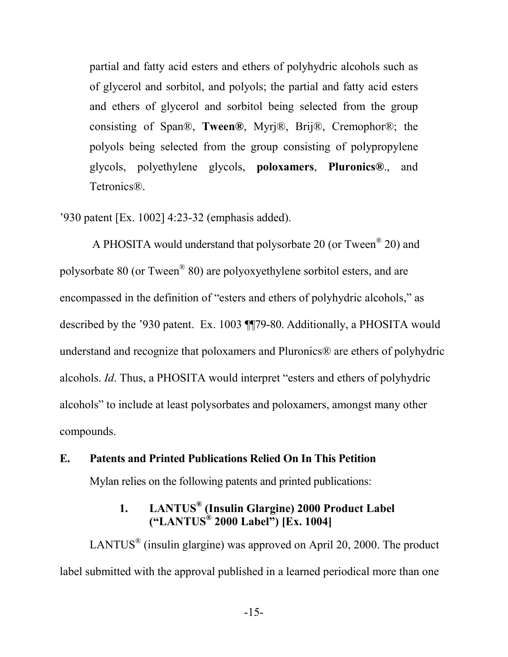partial and fatty acid esters and ethers of polyhydric alcohols such as of glycerol and sorbitol, and polyols; the partial and fatty acid esters and ethers of glycerol and sorbitol being selected from the group consisting of Span®, **Tween®**, Myrj®, Brij®, Cremophor®; the polyols being selected from the group consisting of polypropylene glycols, polyethylene glycols, **poloxamers**, **Pluronics®**., and Tetronics®.

'930 patent [Ex. 1002] 4:23-32 (emphasis added).

 A PHOSITA would understand that polysorbate 20 (or Tween® 20) and polysorbate 80 (or Tween<sup>®</sup> 80) are polyoxyethylene sorbitol esters, and are encompassed in the definition of "esters and ethers of polyhydric alcohols," as described by the '930 patent. Ex. 1003 ¶¶79-80. Additionally, a PHOSITA would understand and recognize that poloxamers and Pluronics® are ethers of polyhydric alcohols. *Id*. Thus, a PHOSITA would interpret "esters and ethers of polyhydric alcohols" to include at least polysorbates and poloxamers, amongst many other compounds.

#### **E. Patents and Printed Publications Relied On In This Petition**

Mylan relies on the following patents and printed publications:

### **1. LANTUS® (Insulin Glargine) 2000 Product Label ("LANTUS® 2000 Label") [Ex. 1004]**

LANTUS<sup>®</sup> (insulin glargine) was approved on April 20, 2000. The product label submitted with the approval published in a learned periodical more than one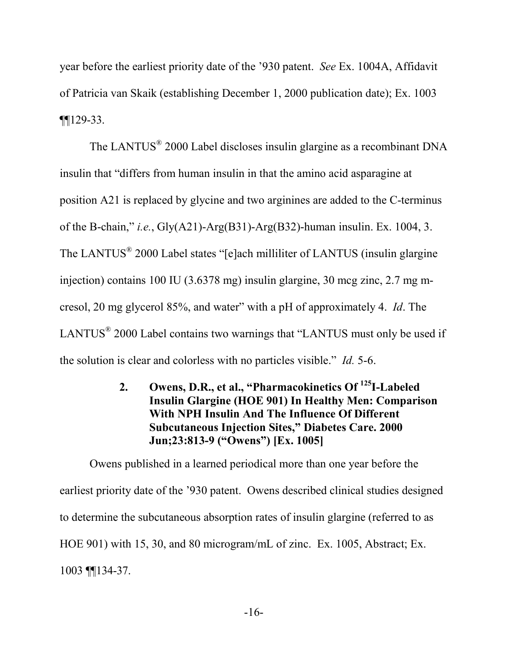year before the earliest priority date of the '930 patent. *See* Ex. 1004A, Affidavit of Patricia van Skaik (establishing December 1, 2000 publication date); Ex. 1003 ¶¶129-33.

The LANTUS<sup>®</sup> 2000 Label discloses insulin glargine as a recombinant DNA insulin that "differs from human insulin in that the amino acid asparagine at position A21 is replaced by glycine and two arginines are added to the C-terminus of the B-chain," *i.e.*, Gly(A21)-Arg(B31)-Arg(B32)-human insulin. Ex. 1004, 3. The LANTUS<sup>®</sup> 2000 Label states "[e]ach milliliter of LANTUS (insulin glargine injection) contains 100 IU (3.6378 mg) insulin glargine, 30 mcg zinc, 2.7 mg mcresol, 20 mg glycerol 85%, and water" with a pH of approximately 4. *Id*. The LANTUS $^{\circ}$  2000 Label contains two warnings that "LANTUS must only be used if the solution is clear and colorless with no particles visible." *Id.* 5-6.

### **2. Owens, D.R., et al., "Pharmacokinetics Of <sup>125</sup>I-Labeled Insulin Glargine (HOE 901) In Healthy Men: Comparison With NPH Insulin And The Influence Of Different Subcutaneous Injection Sites," Diabetes Care. 2000 Jun;23:813-9 ("Owens") [Ex. 1005]**

Owens published in a learned periodical more than one year before the earliest priority date of the '930 patent. Owens described clinical studies designed to determine the subcutaneous absorption rates of insulin glargine (referred to as HOE 901) with 15, 30, and 80 microgram/mL of zinc. Ex. 1005, Abstract; Ex. 1003 ¶¶134-37.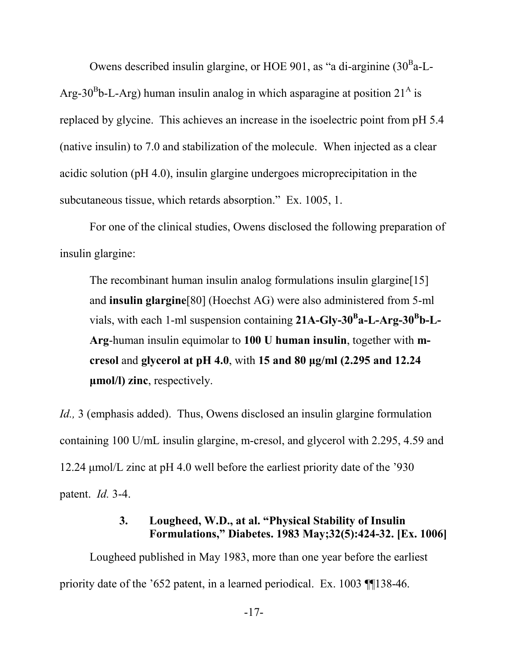Owens described insulin glargine, or HOE 901, as "a di-arginine  $(30<sup>B</sup>a-L-$ Arg-30<sup>B</sup>b-L-Arg) human insulin analog in which asparagine at position  $21^{\text{A}}$  is replaced by glycine. This achieves an increase in the isoelectric point from pH 5.4 (native insulin) to 7.0 and stabilization of the molecule. When injected as a clear acidic solution (pH 4.0), insulin glargine undergoes microprecipitation in the subcutaneous tissue, which retards absorption." Ex. 1005, 1.

For one of the clinical studies, Owens disclosed the following preparation of insulin glargine:

The recombinant human insulin analog formulations insulin glargine [15] and **insulin glargine**[80] (Hoechst AG) were also administered from 5-ml vials, with each 1-ml suspension containing 21A-Gly-30<sup>B</sup> a-L-Arg-30<sup>B</sup> b-L-**Arg**-human insulin equimolar to **100 U human insulin**, together with **mcresol** and **glycerol at pH 4.0**, with **15 and 80 μg/ml (2.295 and 12.24 μmol/l) zinc**, respectively.

*Id.*, 3 (emphasis added). Thus, Owens disclosed an insulin glargine formulation containing 100 U/mL insulin glargine, m-cresol, and glycerol with 2.295, 4.59 and 12.24 μmol/L zinc at pH 4.0 well before the earliest priority date of the '930 patent. *Id.* 3-4.

### **3. Lougheed, W.D., at al. "Physical Stability of Insulin Formulations," Diabetes. 1983 May;32(5):424-32. [Ex. 1006]**

Lougheed published in May 1983, more than one year before the earliest priority date of the '652 patent, in a learned periodical. Ex. 1003 ¶¶138-46.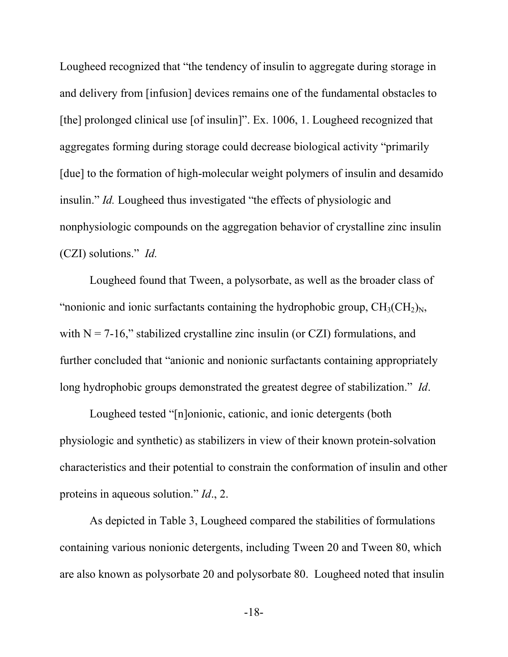Lougheed recognized that "the tendency of insulin to aggregate during storage in and delivery from [infusion] devices remains one of the fundamental obstacles to [the] prolonged clinical use [of insulin]". Ex. 1006, 1. Lougheed recognized that aggregates forming during storage could decrease biological activity "primarily [due] to the formation of high-molecular weight polymers of insulin and desamido insulin." *Id.* Lougheed thus investigated "the effects of physiologic and nonphysiologic compounds on the aggregation behavior of crystalline zinc insulin (CZI) solutions." *Id.*

Lougheed found that Tween, a polysorbate, as well as the broader class of "nonionic and ionic surfactants containing the hydrophobic group,  $CH_3(CH_2)<sub>N</sub>$ , with  $N = 7-16$ ," stabilized crystalline zinc insulin (or CZI) formulations, and further concluded that "anionic and nonionic surfactants containing appropriately long hydrophobic groups demonstrated the greatest degree of stabilization." *Id*.

Lougheed tested "[n]onionic, cationic, and ionic detergents (both physiologic and synthetic) as stabilizers in view of their known protein-solvation characteristics and their potential to constrain the conformation of insulin and other proteins in aqueous solution." *Id*., 2.

As depicted in Table 3, Lougheed compared the stabilities of formulations containing various nonionic detergents, including Tween 20 and Tween 80, which are also known as polysorbate 20 and polysorbate 80. Lougheed noted that insulin

-18-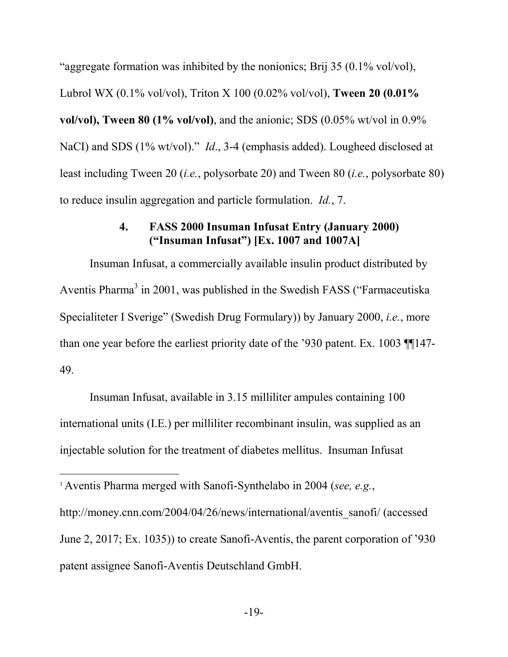"aggregate formation was inhibited by the nonionics; Brij 35 (0.1% vol/vol), Lubrol WX (0.1% vol/vol), Triton X 100 (0.02% vol/vol), **Tween 20 (0.01% vol/vol), Tween 80 (1% vol/vol)**, and the anionic; SDS (0.05% wt/vol in 0.9% NaCI) and SDS (1% wt/vol)." *Id*., 3-4 (emphasis added). Lougheed disclosed at least including Tween 20 (*i.e.*, polysorbate 20) and Tween 80 (*i.e.*, polysorbate 80) to reduce insulin aggregation and particle formulation. *Id.*, 7.

#### **4. FASS 2000 Insuman Infusat Entry (January 2000) ("Insuman Infusat") [Ex. 1007 and 1007A]**

Insuman Infusat, a commercially available insulin product distributed by Aventis Pharma<sup>3</sup> in 2001, was published in the Swedish FASS ("Farmaceutiska") Specialiteter I Sverige" (Swedish Drug Formulary)) by January 2000, *i.e.*, more than one year before the earliest priority date of the '930 patent. Ex. 1003 ¶¶147- 49.

Insuman Infusat, available in 3.15 milliliter ampules containing 100 international units (I.E.) per milliliter recombinant insulin, was supplied as an injectable solution for the treatment of diabetes mellitus. Insuman Infusat

<sup>3</sup> Aventis Pharma merged with Sanofi-Synthelabo in 2004 (*see, e.g.*,

http://money.cnn.com/2004/04/26/news/international/aventis\_sanofi/ (accessed June 2, 2017; Ex. 1035)) to create Sanofi-Aventis, the parent corporation of '930 patent assignee Sanofi-Aventis Deutschland GmbH.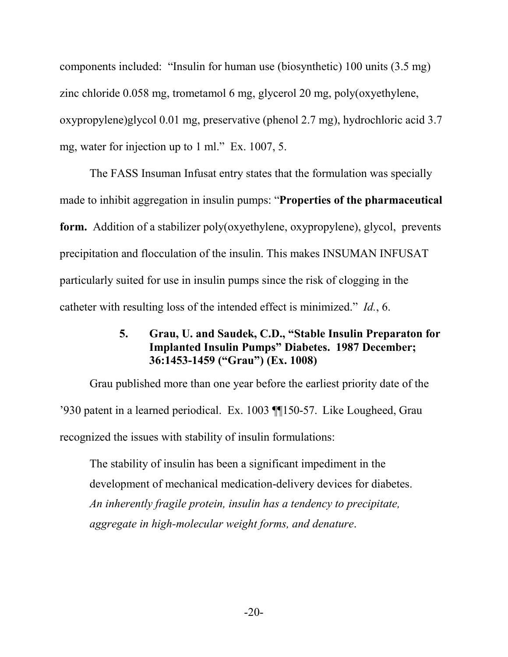components included: "Insulin for human use (biosynthetic) 100 units (3.5 mg) zinc chloride 0.058 mg, trometamol 6 mg, glycerol 20 mg, poly(oxyethylene, oxypropylene)glycol 0.01 mg, preservative (phenol 2.7 mg), hydrochloric acid 3.7 mg, water for injection up to 1 ml." Ex. 1007, 5.

The FASS Insuman Infusat entry states that the formulation was specially made to inhibit aggregation in insulin pumps: "**Properties of the pharmaceutical form.** Addition of a stabilizer poly(oxyethylene, oxypropylene), glycol, prevents precipitation and flocculation of the insulin. This makes INSUMAN INFUSAT particularly suited for use in insulin pumps since the risk of clogging in the catheter with resulting loss of the intended effect is minimized." *Id.*, 6.

#### **5. Grau, U. and Saudek, C.D., "Stable Insulin Preparaton for Implanted Insulin Pumps" Diabetes. 1987 December; 36:1453-1459 ("Grau") (Ex. 1008)**

Grau published more than one year before the earliest priority date of the '930 patent in a learned periodical. Ex. 1003 ¶¶150-57. Like Lougheed, Grau recognized the issues with stability of insulin formulations:

The stability of insulin has been a significant impediment in the development of mechanical medication-delivery devices for diabetes. *An inherently fragile protein, insulin has a tendency to precipitate, aggregate in high-molecular weight forms, and denature*.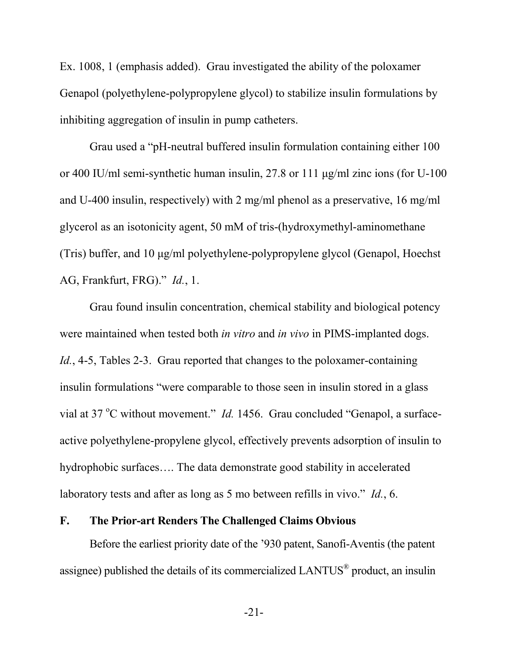Ex. 1008, 1 (emphasis added). Grau investigated the ability of the poloxamer Genapol (polyethylene-polypropylene glycol) to stabilize insulin formulations by inhibiting aggregation of insulin in pump catheters.

Grau used a "pH-neutral buffered insulin formulation containing either 100 or 400 IU/ml semi-synthetic human insulin, 27.8 or 111 μg/ml zinc ions (for U-100 and U-400 insulin, respectively) with 2 mg/ml phenol as a preservative, 16 mg/ml glycerol as an isotonicity agent, 50 mM of tris-(hydroxymethyl-aminomethane (Tris) buffer, and 10 μg/ml polyethylene-polypropylene glycol (Genapol, Hoechst AG, Frankfurt, FRG)." *Id.*, 1.

Grau found insulin concentration, chemical stability and biological potency were maintained when tested both *in vitro* and *in vivo* in PIMS-implanted dogs. *Id.*, 4-5, Tables 2-3. Grau reported that changes to the poloxamer-containing insulin formulations "were comparable to those seen in insulin stored in a glass vial at 37 °C without movement." *Id.* 1456. Grau concluded "Genapol, a surfaceactive polyethylene-propylene glycol, effectively prevents adsorption of insulin to hydrophobic surfaces…. The data demonstrate good stability in accelerated laboratory tests and after as long as 5 mo between refills in vivo." *Id.*, 6.

#### **F. The Prior-art Renders The Challenged Claims Obvious**

Before the earliest priority date of the '930 patent, Sanofi-Aventis (the patent assignee) published the details of its commercialized LANTUS<sup>®</sup> product, an insulin

-21-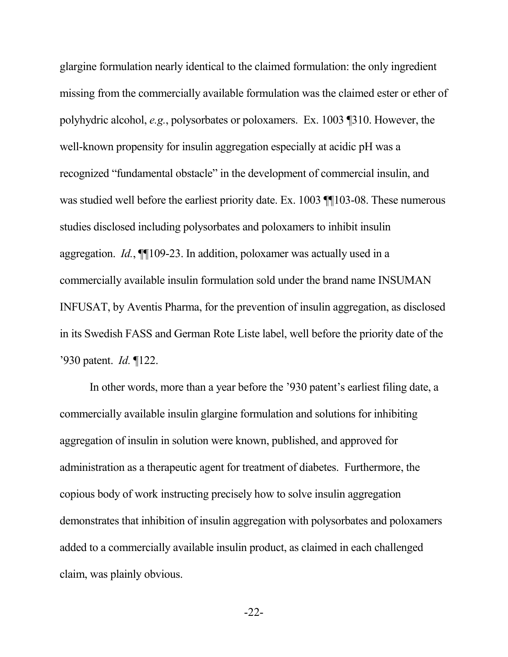glargine formulation nearly identical to the claimed formulation: the only ingredient missing from the commercially available formulation was the claimed ester or ether of polyhydric alcohol, *e.g.*, polysorbates or poloxamers. Ex. 1003 ¶310. However, the well-known propensity for insulin aggregation especially at acidic pH was a recognized "fundamental obstacle" in the development of commercial insulin, and was studied well before the earliest priority date. Ex. 1003 ¶ [103-08. These numerous studies disclosed including polysorbates and poloxamers to inhibit insulin aggregation. *Id.*, ¶¶109-23. In addition, poloxamer was actually used in a commercially available insulin formulation sold under the brand name INSUMAN INFUSAT, by Aventis Pharma, for the prevention of insulin aggregation, as disclosed in its Swedish FASS and German Rote Liste label, well before the priority date of the '930 patent. *Id.* ¶122.

In other words, more than a year before the '930 patent's earliest filing date, a commercially available insulin glargine formulation and solutions for inhibiting aggregation of insulin in solution were known, published, and approved for administration as a therapeutic agent for treatment of diabetes. Furthermore, the copious body of work instructing precisely how to solve insulin aggregation demonstrates that inhibition of insulin aggregation with polysorbates and poloxamers added to a commercially available insulin product, as claimed in each challenged claim, was plainly obvious.

-22-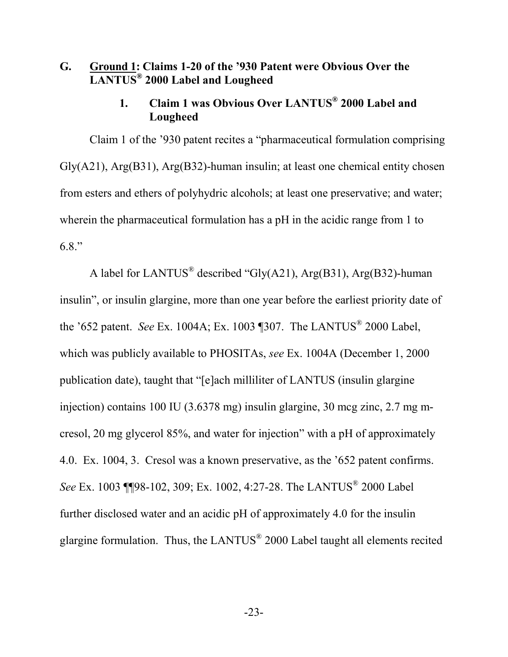## **G. Ground 1: Claims 1-20 of the '930 Patent were Obvious Over the LANTUS® 2000 Label and Lougheed**

### **1. Claim 1 was Obvious Over LANTUS® 2000 Label and Lougheed**

Claim 1 of the '930 patent recites a "pharmaceutical formulation comprising Gly(A21), Arg(B31), Arg(B32)-human insulin; at least one chemical entity chosen from esters and ethers of polyhydric alcohols; at least one preservative; and water; wherein the pharmaceutical formulation has a pH in the acidic range from 1 to 6.8."

A label for LANTUS<sup>®</sup> described "Gly(A21), Arg(B31), Arg(B32)-human insulin", or insulin glargine, more than one year before the earliest priority date of the '652 patent. *See* Ex. 1004A; Ex. 1003 ¶307. The LANTUS® 2000 Label, which was publicly available to PHOSITAs, *see* Ex. 1004A (December 1, 2000 publication date), taught that "[e]ach milliliter of LANTUS (insulin glargine injection) contains 100 IU (3.6378 mg) insulin glargine, 30 mcg zinc, 2.7 mg mcresol, 20 mg glycerol 85%, and water for injection" with a pH of approximately 4.0. Ex. 1004, 3. Cresol was a known preservative, as the '652 patent confirms. See Ex. 1003 **[**[[98-102, 309; Ex. 1002, 4:27-28. The LANTUS<sup>®</sup> 2000 Label further disclosed water and an acidic pH of approximately 4.0 for the insulin glargine formulation. Thus, the LANTUS $^{\circ\!\!\! \circ}$  2000 Label taught all elements recited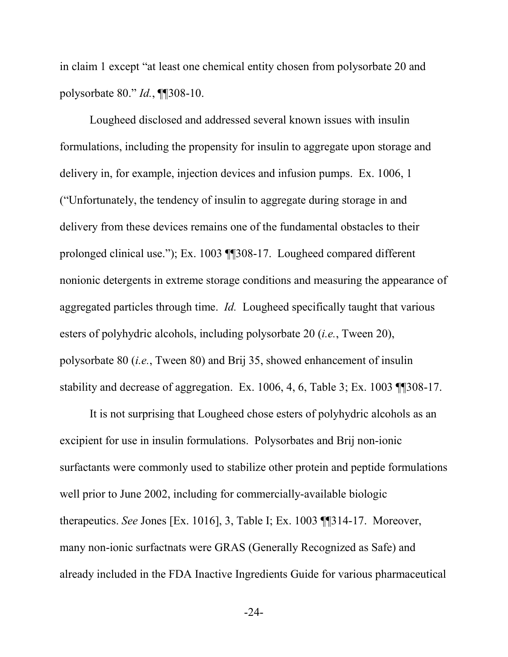in claim 1 except "at least one chemical entity chosen from polysorbate 20 and polysorbate 80." *Id.*, ¶¶308-10.

Lougheed disclosed and addressed several known issues with insulin formulations, including the propensity for insulin to aggregate upon storage and delivery in, for example, injection devices and infusion pumps. Ex. 1006, 1 ("Unfortunately, the tendency of insulin to aggregate during storage in and delivery from these devices remains one of the fundamental obstacles to their prolonged clinical use."); Ex. 1003 ¶¶308-17. Lougheed compared different nonionic detergents in extreme storage conditions and measuring the appearance of aggregated particles through time. *Id.* Lougheed specifically taught that various esters of polyhydric alcohols, including polysorbate 20 (*i.e.*, Tween 20), polysorbate 80 (*i.e.*, Tween 80) and Brij 35, showed enhancement of insulin stability and decrease of aggregation. Ex. 1006, 4, 6, Table 3; Ex. 1003 ¶¶308-17.

It is not surprising that Lougheed chose esters of polyhydric alcohols as an excipient for use in insulin formulations. Polysorbates and Brij non-ionic surfactants were commonly used to stabilize other protein and peptide formulations well prior to June 2002, including for commercially-available biologic therapeutics. *See* Jones [Ex. 1016], 3, Table I; Ex. 1003 ¶¶314-17. Moreover, many non-ionic surfactnats were GRAS (Generally Recognized as Safe) and already included in the FDA Inactive Ingredients Guide for various pharmaceutical

-24-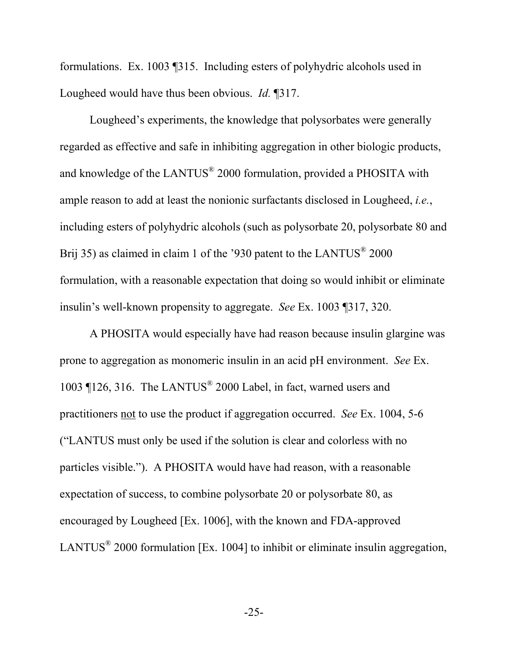formulations. Ex. 1003 ¶315. Including esters of polyhydric alcohols used in Lougheed would have thus been obvious. *Id.* ¶317.

Lougheed's experiments, the knowledge that polysorbates were generally regarded as effective and safe in inhibiting aggregation in other biologic products, and knowledge of the LANTUS<sup>®</sup> 2000 formulation, provided a PHOSITA with ample reason to add at least the nonionic surfactants disclosed in Lougheed, *i.e.*, including esters of polyhydric alcohols (such as polysorbate 20, polysorbate 80 and Brij 35) as claimed in claim 1 of the '930 patent to the LANTUS $^{\circ}$  2000 formulation, with a reasonable expectation that doing so would inhibit or eliminate insulin's well-known propensity to aggregate. *See* Ex. 1003 ¶317, 320.

A PHOSITA would especially have had reason because insulin glargine was prone to aggregation as monomeric insulin in an acid pH environment. *See* Ex. 1003 ¶126, 316. The LANTUS® 2000 Label, in fact, warned users and practitioners not to use the product if aggregation occurred. *See* Ex. 1004, 5-6 ("LANTUS must only be used if the solution is clear and colorless with no particles visible."). A PHOSITA would have had reason, with a reasonable expectation of success, to combine polysorbate 20 or polysorbate 80, as encouraged by Lougheed [Ex. 1006], with the known and FDA-approved LANTUS<sup>®</sup> 2000 formulation [Ex. 1004] to inhibit or eliminate insulin aggregation,

-25-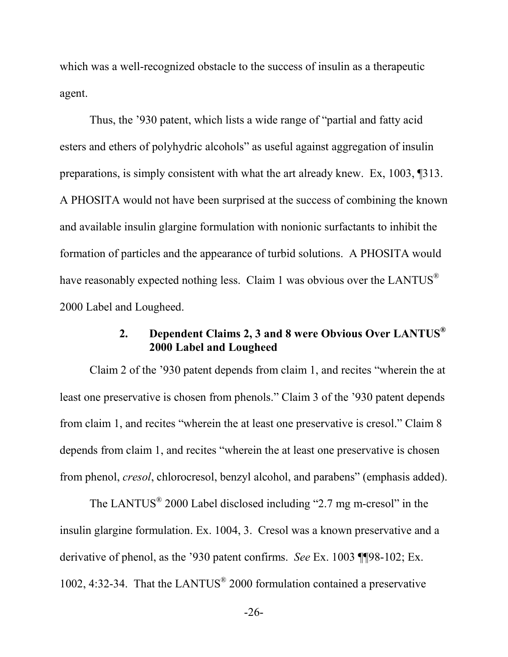which was a well-recognized obstacle to the success of insulin as a therapeutic agent.

Thus, the '930 patent, which lists a wide range of "partial and fatty acid esters and ethers of polyhydric alcohols" as useful against aggregation of insulin preparations, is simply consistent with what the art already knew. Ex, 1003, ¶313. A PHOSITA would not have been surprised at the success of combining the known and available insulin glargine formulation with nonionic surfactants to inhibit the formation of particles and the appearance of turbid solutions. A PHOSITA would have reasonably expected nothing less. Claim 1 was obvious over the LANTUS® 2000 Label and Lougheed.

# **2. Dependent Claims 2, 3 and 8 were Obvious Over LANTUS® 2000 Label and Lougheed**

Claim 2 of the '930 patent depends from claim 1, and recites "wherein the at least one preservative is chosen from phenols." Claim 3 of the '930 patent depends from claim 1, and recites "wherein the at least one preservative is cresol." Claim 8 depends from claim 1, and recites "wherein the at least one preservative is chosen from phenol, *cresol*, chlorocresol, benzyl alcohol, and parabens" (emphasis added).

The LANTUS $^{\circ}$  2000 Label disclosed including "2.7 mg m-cresol" in the insulin glargine formulation. Ex. 1004, 3. Cresol was a known preservative and a derivative of phenol, as the '930 patent confirms. *See* Ex. 1003 ¶¶98-102; Ex. 1002, 4:32-34. That the LANTUS® 2000 formulation contained a preservative

-26-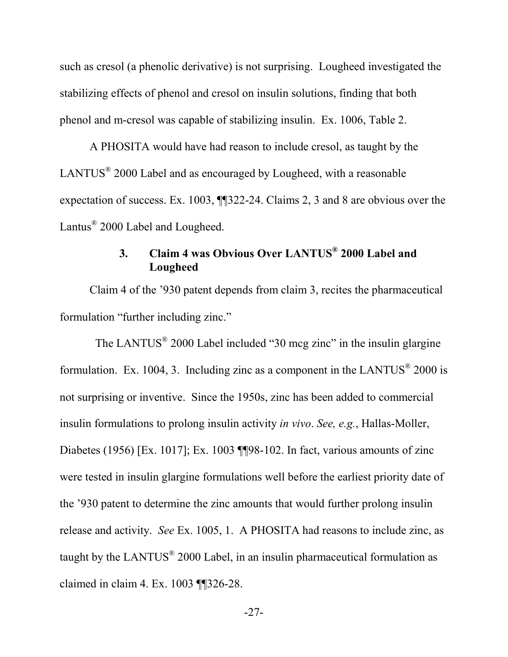such as cresol (a phenolic derivative) is not surprising. Lougheed investigated the stabilizing effects of phenol and cresol on insulin solutions, finding that both phenol and m-cresol was capable of stabilizing insulin. Ex. 1006, Table 2.

A PHOSITA would have had reason to include cresol, as taught by the LANTUS $^{\circ}$  2000 Label and as encouraged by Lougheed, with a reasonable expectation of success. Ex. 1003, ¶¶322-24. Claims 2, 3 and 8 are obvious over the Lantus<sup>®</sup> 2000 Label and Lougheed.

# **3. Claim 4 was Obvious Over LANTUS® 2000 Label and Lougheed**

Claim 4 of the '930 patent depends from claim 3, recites the pharmaceutical formulation "further including zinc."

The LANTUS<sup>®</sup> 2000 Label included "30 mcg zinc" in the insulin glargine formulation. Ex. 1004, 3. Including zinc as a component in the LANTUS<sup>®</sup> 2000 is not surprising or inventive. Since the 1950s, zinc has been added to commercial insulin formulations to prolong insulin activity *in vivo*. *See, e.g.*, Hallas-Moller, Diabetes (1956) [Ex. 1017]; Ex. 1003 ¶¶98-102. In fact, various amounts of zinc were tested in insulin glargine formulations well before the earliest priority date of the '930 patent to determine the zinc amounts that would further prolong insulin release and activity. *See* Ex. 1005, 1. A PHOSITA had reasons to include zinc, as taught by the LANTUS $^{\circ}$  2000 Label, in an insulin pharmaceutical formulation as claimed in claim 4. Ex. 1003 ¶¶326-28.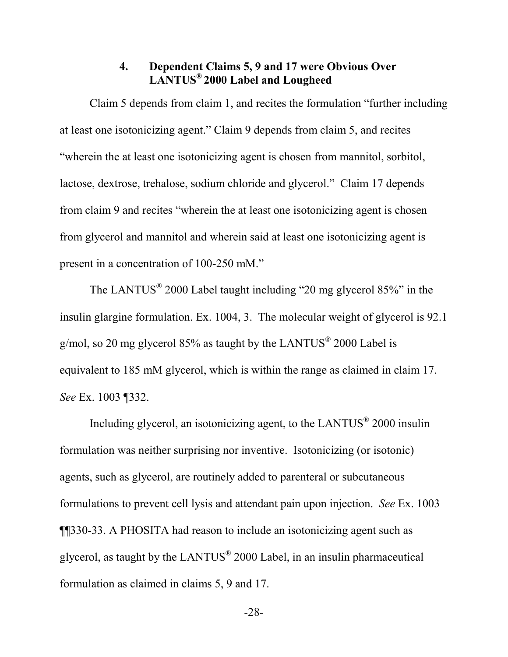### **4. Dependent Claims 5, 9 and 17 were Obvious Over LANTUS® 2000 Label and Lougheed**

Claim 5 depends from claim 1, and recites the formulation "further including at least one isotonicizing agent." Claim 9 depends from claim 5, and recites "wherein the at least one isotonicizing agent is chosen from mannitol, sorbitol, lactose, dextrose, trehalose, sodium chloride and glycerol." Claim 17 depends from claim 9 and recites "wherein the at least one isotonicizing agent is chosen from glycerol and mannitol and wherein said at least one isotonicizing agent is present in a concentration of 100-250 mM."

The LANTUS $^{\circ}$  2000 Label taught including "20 mg glycerol 85%" in the insulin glargine formulation. Ex. 1004, 3. The molecular weight of glycerol is 92.1 g/mol, so 20 mg glycerol 85% as taught by the LANTUS<sup>®</sup> 2000 Label is equivalent to 185 mM glycerol, which is within the range as claimed in claim 17. *See* Ex. 1003 ¶332.

Including glycerol, an isotonicizing agent, to the LANTUS<sup>®</sup> 2000 insulin formulation was neither surprising nor inventive. Isotonicizing (or isotonic) agents, such as glycerol, are routinely added to parenteral or subcutaneous formulations to prevent cell lysis and attendant pain upon injection. *See* Ex. 1003 ¶¶330-33. A PHOSITA had reason to include an isotonicizing agent such as glycerol, as taught by the LANTUS<sup>®</sup> 2000 Label, in an insulin pharmaceutical formulation as claimed in claims 5, 9 and 17.

-28-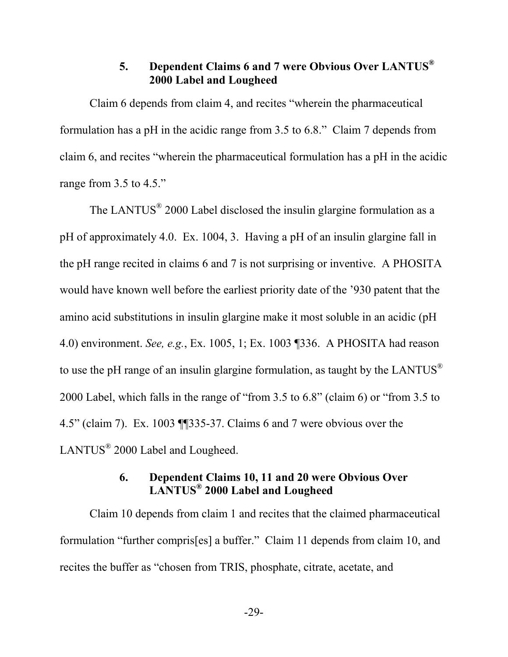# **5. Dependent Claims 6 and 7 were Obvious Over LANTUS® 2000 Label and Lougheed**

Claim 6 depends from claim 4, and recites "wherein the pharmaceutical formulation has a pH in the acidic range from 3.5 to 6.8." Claim 7 depends from claim 6, and recites "wherein the pharmaceutical formulation has a pH in the acidic range from 3.5 to 4.5."

The LANTUS $^{\circ}$  2000 Label disclosed the insulin glargine formulation as a pH of approximately 4.0. Ex. 1004, 3. Having a pH of an insulin glargine fall in the pH range recited in claims 6 and 7 is not surprising or inventive. A PHOSITA would have known well before the earliest priority date of the '930 patent that the amino acid substitutions in insulin glargine make it most soluble in an acidic (pH 4.0) environment. *See, e.g.*, Ex. 1005, 1; Ex. 1003 ¶336. A PHOSITA had reason to use the pH range of an insulin glargine formulation, as taught by the LANTUS<sup>®</sup> 2000 Label, which falls in the range of "from 3.5 to 6.8" (claim 6) or "from 3.5 to 4.5" (claim 7). Ex. 1003 ¶¶335-37. Claims 6 and 7 were obvious over the LANTUS<sup>®</sup> 2000 Label and Lougheed.

### **6. Dependent Claims 10, 11 and 20 were Obvious Over LANTUS® 2000 Label and Lougheed**

Claim 10 depends from claim 1 and recites that the claimed pharmaceutical formulation "further compris[es] a buffer." Claim 11 depends from claim 10, and recites the buffer as "chosen from TRIS, phosphate, citrate, acetate, and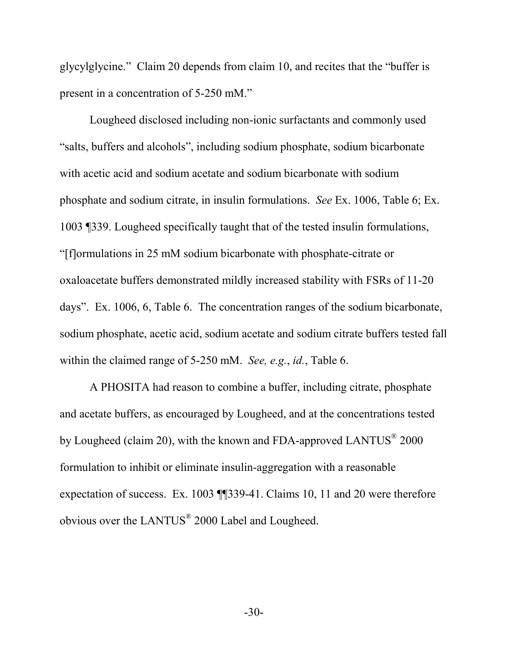glycylglycine." Claim 20 depends from claim 10, and recites that the "buffer is present in a concentration of 5-250 mM."

Lougheed disclosed including non-ionic surfactants and commonly used "salts, buffers and alcohols", including sodium phosphate, sodium bicarbonate with acetic acid and sodium acetate and sodium bicarbonate with sodium phosphate and sodium citrate, in insulin formulations. *See* Ex. 1006, Table 6; Ex. 1003 ¶339. Lougheed specifically taught that of the tested insulin formulations, "[f]ormulations in 25 mM sodium bicarbonate with phosphate-citrate or oxaloacetate buffers demonstrated mildly increased stability with FSRs of 11-20 days". Ex. 1006, 6, Table 6. The concentration ranges of the sodium bicarbonate, sodium phosphate, acetic acid, sodium acetate and sodium citrate buffers tested fall within the claimed range of 5-250 mM. *See, e.g.*, *id.*, Table 6.

A PHOSITA had reason to combine a buffer, including citrate, phosphate and acetate buffers, as encouraged by Lougheed, and at the concentrations tested by Lougheed (claim 20), with the known and FDA-approved LANTUS $^{\circ}$  2000 formulation to inhibit or eliminate insulin-aggregation with a reasonable expectation of success. Ex. 1003 ¶¶339-41. Claims 10, 11 and 20 were therefore obvious over the LANTUS<sup>®</sup> 2000 Label and Lougheed.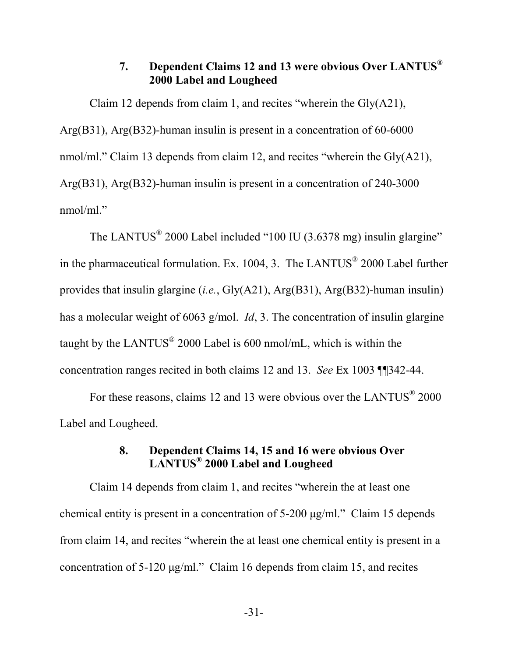# **7. Dependent Claims 12 and 13 were obvious Over LANTUS® 2000 Label and Lougheed**

Claim 12 depends from claim 1, and recites "wherein the Gly(A21), Arg(B31), Arg(B32)-human insulin is present in a concentration of 60-6000 nmol/ml." Claim 13 depends from claim 12, and recites "wherein the Gly(A21), Arg(B31), Arg(B32)-human insulin is present in a concentration of 240-3000 nmol/ml."

The LANTUS<sup>®</sup> 2000 Label included "100 IU (3.6378 mg) insulin glargine" in the pharmaceutical formulation. Ex. 1004, 3. The LANTUS® 2000 Label further provides that insulin glargine (*i.e.*, Gly(A21), Arg(B31), Arg(B32)-human insulin) has a molecular weight of 6063 g/mol. *Id*, 3. The concentration of insulin glargine taught by the LANTUS $^{\circ}$  2000 Label is 600 nmol/mL, which is within the concentration ranges recited in both claims 12 and 13. *See* Ex 1003 ¶¶342-44.

For these reasons, claims 12 and 13 were obvious over the LANTUS<sup>®</sup> 2000 Label and Lougheed.

# **8. Dependent Claims 14, 15 and 16 were obvious Over LANTUS® 2000 Label and Lougheed**

Claim 14 depends from claim 1, and recites "wherein the at least one chemical entity is present in a concentration of 5-200 μg/ml." Claim 15 depends from claim 14, and recites "wherein the at least one chemical entity is present in a concentration of 5-120 μg/ml." Claim 16 depends from claim 15, and recites

-31-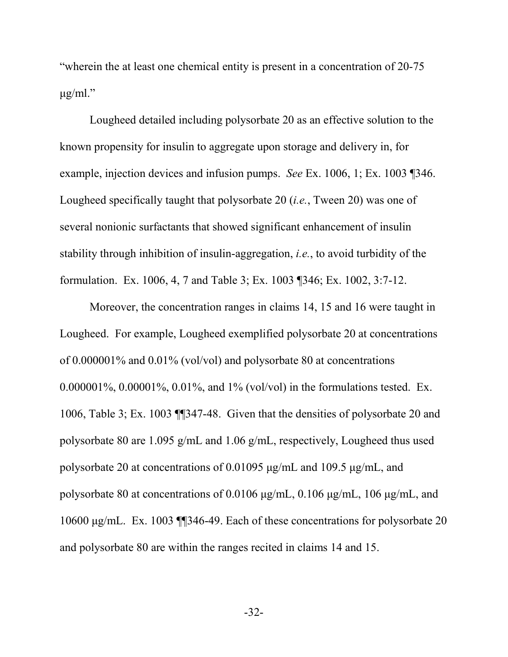"wherein the at least one chemical entity is present in a concentration of 20-75  $\mu$ g/ml."

Lougheed detailed including polysorbate 20 as an effective solution to the known propensity for insulin to aggregate upon storage and delivery in, for example, injection devices and infusion pumps. *See* Ex. 1006, 1; Ex. 1003 ¶346. Lougheed specifically taught that polysorbate 20 (*i.e.*, Tween 20) was one of several nonionic surfactants that showed significant enhancement of insulin stability through inhibition of insulin-aggregation, *i.e.*, to avoid turbidity of the formulation. Ex. 1006, 4, 7 and Table 3; Ex. 1003 ¶346; Ex. 1002, 3:7-12.

Moreover, the concentration ranges in claims 14, 15 and 16 were taught in Lougheed. For example, Lougheed exemplified polysorbate 20 at concentrations of 0.000001% and 0.01% (vol/vol) and polysorbate 80 at concentrations 0.000001%, 0.00001%, 0.01%, and 1% (vol/vol) in the formulations tested. Ex. 1006, Table 3; Ex. 1003 ¶¶347-48. Given that the densities of polysorbate 20 and polysorbate 80 are 1.095 g/mL and 1.06 g/mL, respectively, Lougheed thus used polysorbate 20 at concentrations of 0.01095 μg/mL and 109.5 μg/mL, and polysorbate 80 at concentrations of 0.0106 μg/mL, 0.106 μg/mL, 106 μg/mL, and 10600 μg/mL. Ex. 1003 ¶¶346-49. Each of these concentrations for polysorbate 20 and polysorbate 80 are within the ranges recited in claims 14 and 15.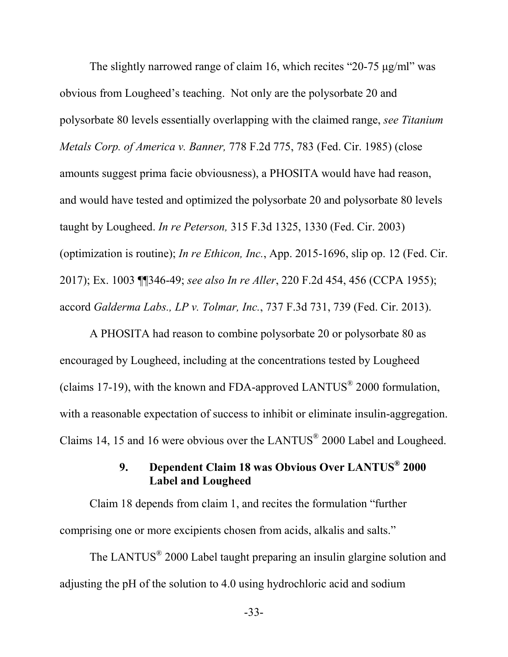The slightly narrowed range of claim 16, which recites "20-75 μg/ml" was obvious from Lougheed's teaching. Not only are the polysorbate 20 and polysorbate 80 levels essentially overlapping with the claimed range, *see Titanium Metals Corp. of America v. Banner,* 778 F.2d 775, 783 (Fed. Cir. 1985) (close amounts suggest prima facie obviousness), a PHOSITA would have had reason, and would have tested and optimized the polysorbate 20 and polysorbate 80 levels taught by Lougheed. *In re Peterson,* 315 F.3d 1325, 1330 (Fed. Cir. 2003) (optimization is routine); *In re Ethicon, Inc.*, App. 2015-1696, slip op. 12 (Fed. Cir. 2017); Ex. 1003 ¶¶346-49; *see also In re Aller*, 220 F.2d 454, 456 (CCPA 1955); accord *Galderma Labs., LP v. Tolmar, Inc.*, 737 F.3d 731, 739 (Fed. Cir. 2013).

A PHOSITA had reason to combine polysorbate 20 or polysorbate 80 as encouraged by Lougheed, including at the concentrations tested by Lougheed (claims 17-19), with the known and FDA-approved LANTUS<sup>®</sup> 2000 formulation, with a reasonable expectation of success to inhibit or eliminate insulin-aggregation. Claims 14, 15 and 16 were obvious over the LANTUS $^{\circ}$  2000 Label and Lougheed.

# **9. Dependent Claim 18 was Obvious Over LANTUS® 2000 Label and Lougheed**

Claim 18 depends from claim 1, and recites the formulation "further comprising one or more excipients chosen from acids, alkalis and salts."

The LANTUS<sup>®</sup> 2000 Label taught preparing an insulin glargine solution and adjusting the pH of the solution to 4.0 using hydrochloric acid and sodium

-33-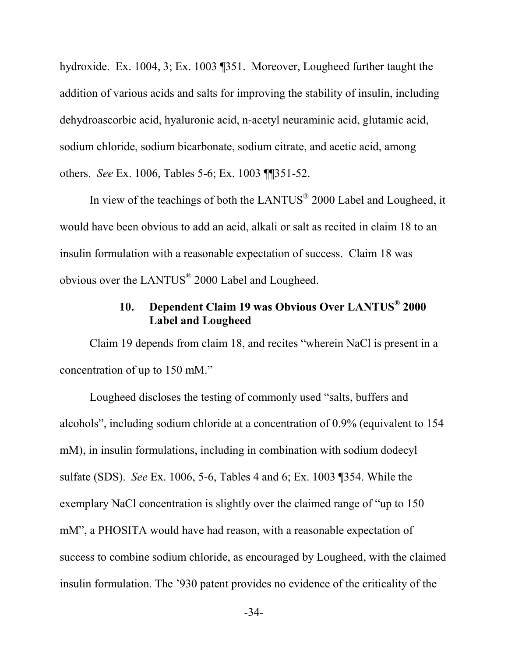hydroxide. Ex. 1004, 3; Ex. 1003 ¶351. Moreover, Lougheed further taught the addition of various acids and salts for improving the stability of insulin, including dehydroascorbic acid, hyaluronic acid, n-acetyl neuraminic acid, glutamic acid, sodium chloride, sodium bicarbonate, sodium citrate, and acetic acid, among others. *See* Ex. 1006, Tables 5-6; Ex. 1003 ¶¶351-52.

In view of the teachings of both the LANTUS<sup>®</sup> 2000 Label and Lougheed, it would have been obvious to add an acid, alkali or salt as recited in claim 18 to an insulin formulation with a reasonable expectation of success. Claim 18 was obvious over the LANTUS $^{\circ}$  2000 Label and Lougheed.

# **10. Dependent Claim 19 was Obvious Over LANTUS® 2000 Label and Lougheed**

Claim 19 depends from claim 18, and recites "wherein NaCl is present in a concentration of up to 150 mM."

Lougheed discloses the testing of commonly used "salts, buffers and alcohols", including sodium chloride at a concentration of 0.9% (equivalent to 154 mM), in insulin formulations, including in combination with sodium dodecyl sulfate (SDS). *See* Ex. 1006, 5-6, Tables 4 and 6; Ex. 1003 ¶354. While the exemplary NaCl concentration is slightly over the claimed range of "up to 150 mM", a PHOSITA would have had reason, with a reasonable expectation of success to combine sodium chloride, as encouraged by Lougheed, with the claimed insulin formulation. The '930 patent provides no evidence of the criticality of the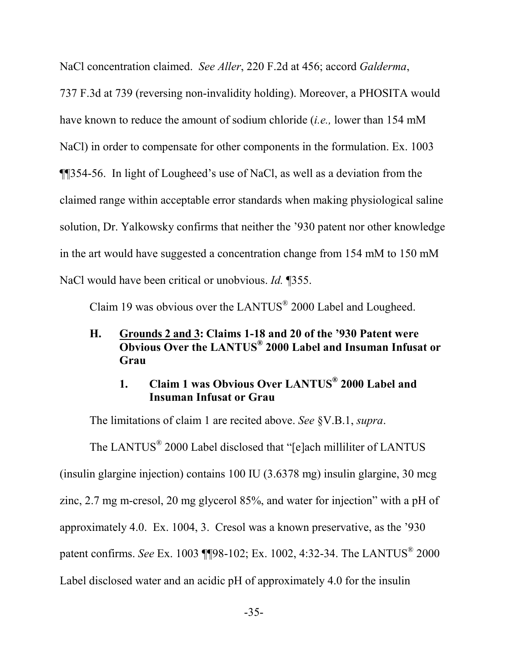NaCl concentration claimed. *See Aller*, 220 F.2d at 456; accord *Galderma*,

737 F.3d at 739 (reversing non-invalidity holding). Moreover, a PHOSITA would have known to reduce the amount of sodium chloride (*i.e.,* lower than 154 mM NaCl) in order to compensate for other components in the formulation. Ex. 1003 ¶¶354-56. In light of Lougheed's use of NaCl, as well as a deviation from the claimed range within acceptable error standards when making physiological saline solution, Dr. Yalkowsky confirms that neither the '930 patent nor other knowledge in the art would have suggested a concentration change from 154 mM to 150 mM NaCl would have been critical or unobvious. *Id.* ¶355.

Claim 19 was obvious over the LANTUS $^{\circ}$  2000 Label and Lougheed.

### **H. Grounds 2 and 3: Claims 1-18 and 20 of the '930 Patent were Obvious Over the LANTUS® 2000 Label and Insuman Infusat or Grau**

# **1. Claim 1 was Obvious Over LANTUS® 2000 Label and Insuman Infusat or Grau**

The limitations of claim 1 are recited above. *See* §V.B.1, *supra*.

The LANTUS<sup>®</sup> 2000 Label disclosed that "[e]ach milliliter of LANTUS (insulin glargine injection) contains 100 IU (3.6378 mg) insulin glargine, 30 mcg zinc, 2.7 mg m-cresol, 20 mg glycerol 85%, and water for injection" with a pH of approximately 4.0. Ex. 1004, 3. Cresol was a known preservative, as the '930 patent confirms. *See* Ex. 1003 ¶¶98-102; Ex. 1002, 4:32-34. The LANTUS® 2000 Label disclosed water and an acidic pH of approximately 4.0 for the insulin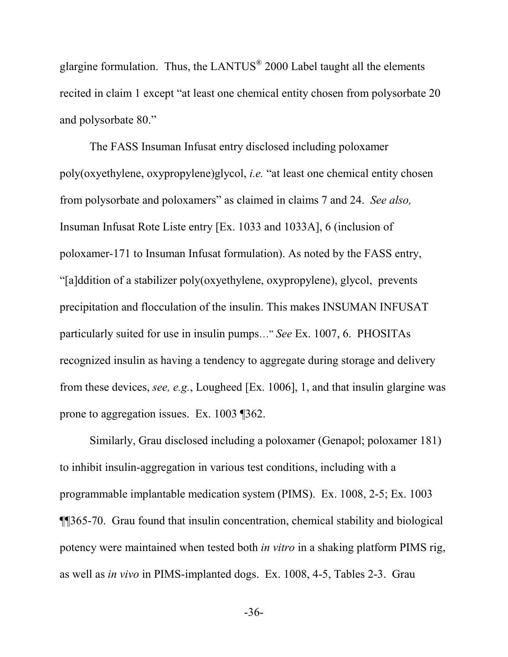glargine formulation. Thus, the LANTUS $^{\circ}$  2000 Label taught all the elements recited in claim 1 except "at least one chemical entity chosen from polysorbate 20 and polysorbate 80."

The FASS Insuman Infusat entry disclosed including poloxamer poly(oxyethylene, oxypropylene)glycol, *i.e.* "at least one chemical entity chosen from polysorbate and poloxamers" as claimed in claims 7 and 24. *See also,* Insuman Infusat Rote Liste entry [Ex. 1033 and 1033A], 6 (inclusion of poloxamer-171 to Insuman Infusat formulation). As noted by the FASS entry, "[a]ddition of a stabilizer poly(oxyethylene, oxypropylene), glycol, prevents precipitation and flocculation of the insulin. This makes INSUMAN INFUSAT particularly suited for use in insulin pumps…" *See* Ex. 1007, 6. PHOSITAs recognized insulin as having a tendency to aggregate during storage and delivery from these devices, *see, e.g.*, Lougheed [Ex. 1006], 1, and that insulin glargine was prone to aggregation issues. Ex. 1003 ¶362.

Similarly, Grau disclosed including a poloxamer (Genapol; poloxamer 181) to inhibit insulin-aggregation in various test conditions, including with a programmable implantable medication system (PIMS). Ex. 1008, 2-5; Ex. 1003 ¶¶365-70. Grau found that insulin concentration, chemical stability and biological potency were maintained when tested both *in vitro* in a shaking platform PIMS rig, as well as *in vivo* in PIMS-implanted dogs. Ex. 1008, 4-5, Tables 2-3. Grau

-36-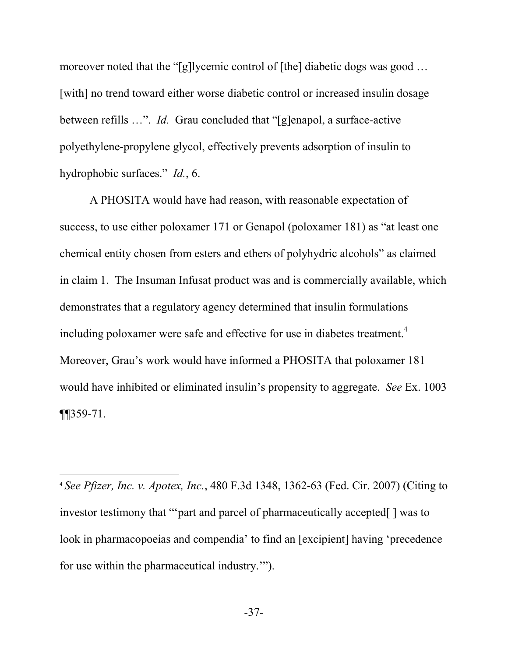moreover noted that the "[g]lycemic control of [the] diabetic dogs was good ... [with] no trend toward either worse diabetic control or increased insulin dosage between refills …". *Id.* Grau concluded that "[g]enapol, a surface-active polyethylene-propylene glycol, effectively prevents adsorption of insulin to hydrophobic surfaces." *Id.*, 6.

A PHOSITA would have had reason, with reasonable expectation of success, to use either poloxamer 171 or Genapol (poloxamer 181) as "at least one chemical entity chosen from esters and ethers of polyhydric alcohols" as claimed in claim 1. The Insuman Infusat product was and is commercially available, which demonstrates that a regulatory agency determined that insulin formulations including poloxamer were safe and effective for use in diabetes treatment.<sup>4</sup> Moreover, Grau's work would have informed a PHOSITA that poloxamer 181 would have inhibited or eliminated insulin's propensity to aggregate. *See* Ex. 1003 ¶¶359-71.

<sup>4</sup> *See Pfizer, Inc. v. Apotex, Inc.*, 480 F.3d 1348, 1362-63 (Fed. Cir. 2007) (Citing to investor testimony that "'part and parcel of pharmaceutically accepted[ ] was to look in pharmacopoeias and compendia' to find an [excipient] having 'precedence for use within the pharmaceutical industry.'").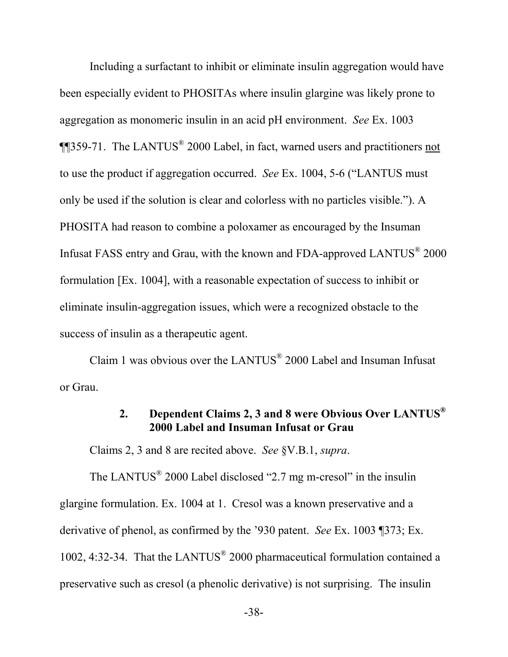Including a surfactant to inhibit or eliminate insulin aggregation would have been especially evident to PHOSITAs where insulin glargine was likely prone to aggregation as monomeric insulin in an acid pH environment. *See* Ex. 1003 **¶**[359-71. The LANTUS<sup>®</sup> 2000 Label, in fact, warned users and practitioners not to use the product if aggregation occurred. *See* Ex. 1004, 5-6 ("LANTUS must only be used if the solution is clear and colorless with no particles visible."). A PHOSITA had reason to combine a poloxamer as encouraged by the Insuman Infusat FASS entry and Grau, with the known and FDA-approved  $LANTUS^{\circledast}$  2000 formulation [Ex. 1004], with a reasonable expectation of success to inhibit or eliminate insulin-aggregation issues, which were a recognized obstacle to the success of insulin as a therapeutic agent.

Claim 1 was obvious over the  $LANTUS^{\circledast}$  2000 Label and Insuman Infusat or Grau.

# **2. Dependent Claims 2, 3 and 8 were Obvious Over LANTUS® 2000 Label and Insuman Infusat or Grau**

Claims 2, 3 and 8 are recited above. *See* §V.B.1, *supra*.

The LANTUS $^{\circ}$  2000 Label disclosed "2.7 mg m-cresol" in the insulin glargine formulation. Ex. 1004 at 1. Cresol was a known preservative and a derivative of phenol, as confirmed by the '930 patent. *See* Ex. 1003 ¶373; Ex. 1002, 4:32-34. That the LANTUS<sup>®</sup> 2000 pharmaceutical formulation contained a preservative such as cresol (a phenolic derivative) is not surprising. The insulin

-38-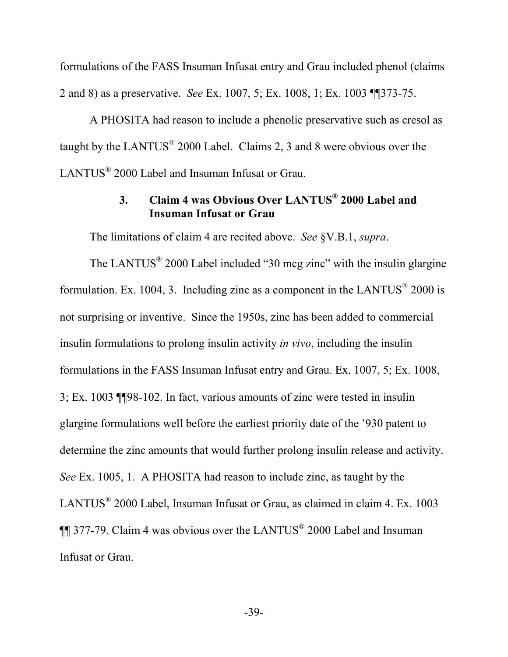formulations of the FASS Insuman Infusat entry and Grau included phenol (claims 2 and 8) as a preservative. *See* Ex. 1007, 5; Ex. 1008, 1; Ex. 1003 ¶¶373-75.

A PHOSITA had reason to include a phenolic preservative such as cresol as taught by the LANTUS $^{\circ}$  2000 Label. Claims 2, 3 and 8 were obvious over the LANTUS<sup>®</sup> 2000 Label and Insuman Infusat or Grau.

# **3. Claim 4 was Obvious Over LANTUS® 2000 Label and Insuman Infusat or Grau**

The limitations of claim 4 are recited above. *See* §V.B.1, *supra*.

The LANTUS $^{\circ}$  2000 Label included "30 mcg zinc" with the insulin glargine formulation. Ex. 1004, 3. Including zinc as a component in the LANTUS $^{\circ}$  2000 is not surprising or inventive. Since the 1950s, zinc has been added to commercial insulin formulations to prolong insulin activity *in vivo*, including the insulin formulations in the FASS Insuman Infusat entry and Grau. Ex. 1007, 5; Ex. 1008, 3; Ex. 1003 ¶¶98-102. In fact, various amounts of zinc were tested in insulin glargine formulations well before the earliest priority date of the '930 patent to determine the zinc amounts that would further prolong insulin release and activity. *See* Ex. 1005, 1. A PHOSITA had reason to include zinc, as taught by the LANTUS<sup>®</sup> 2000 Label, Insuman Infusat or Grau, as claimed in claim 4. Ex. 1003  $\P$  377-79. Claim 4 was obvious over the LANTUS<sup>®</sup> 2000 Label and Insuman Infusat or Grau.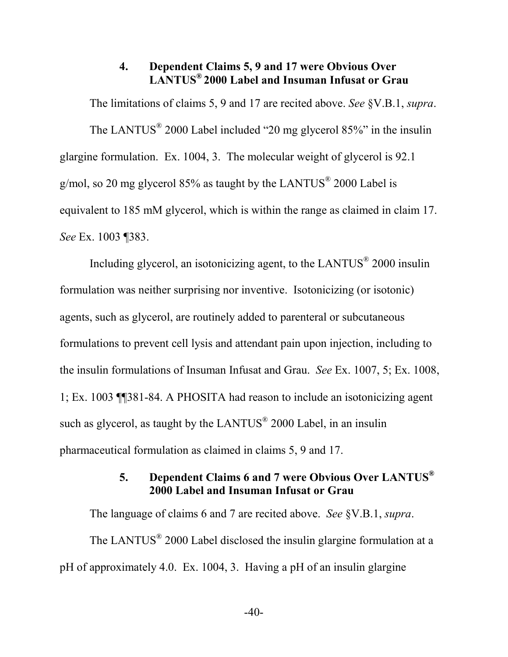# **4. Dependent Claims 5, 9 and 17 were Obvious Over LANTUS® 2000 Label and Insuman Infusat or Grau**

The limitations of claims 5, 9 and 17 are recited above. *See* §V.B.1, *supra*. The LANTUS<sup>®</sup> 2000 Label included "20 mg glycerol 85%" in the insulin glargine formulation. Ex. 1004, 3. The molecular weight of glycerol is 92.1 g/mol, so 20 mg glycerol 85% as taught by the LANTUS<sup>®</sup> 2000 Label is equivalent to 185 mM glycerol, which is within the range as claimed in claim 17. *See* Ex. 1003 ¶383.

Including glycerol, an isotonicizing agent, to the LANTUS<sup>®</sup> 2000 insulin formulation was neither surprising nor inventive. Isotonicizing (or isotonic) agents, such as glycerol, are routinely added to parenteral or subcutaneous formulations to prevent cell lysis and attendant pain upon injection, including to the insulin formulations of Insuman Infusat and Grau. *See* Ex. 1007, 5; Ex. 1008, 1; Ex. 1003 ¶¶381-84. A PHOSITA had reason to include an isotonicizing agent such as glycerol, as taught by the LANTUS $^{\circ}$  2000 Label, in an insulin pharmaceutical formulation as claimed in claims 5, 9 and 17.

# **5. Dependent Claims 6 and 7 were Obvious Over LANTUS® 2000 Label and Insuman Infusat or Grau**

The language of claims 6 and 7 are recited above. *See* §V.B.1, *supra*. The LANTUS $^{\circ}$  2000 Label disclosed the insulin glargine formulation at a pH of approximately 4.0. Ex. 1004, 3. Having a pH of an insulin glargine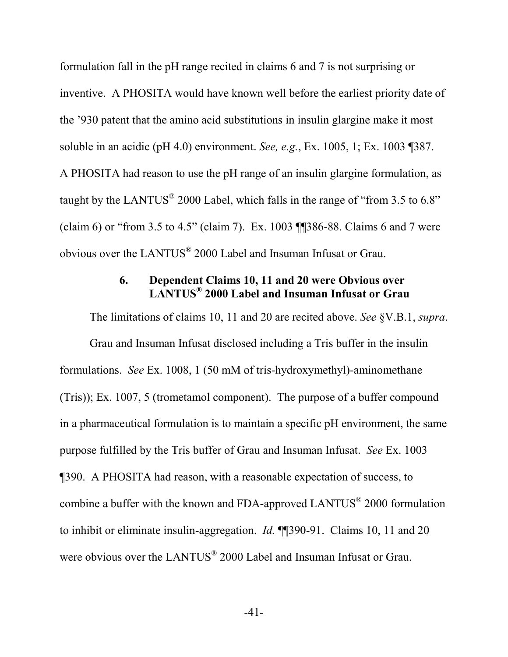formulation fall in the pH range recited in claims 6 and 7 is not surprising or inventive. A PHOSITA would have known well before the earliest priority date of the '930 patent that the amino acid substitutions in insulin glargine make it most soluble in an acidic (pH 4.0) environment. *See, e.g.*, Ex. 1005, 1; Ex. 1003 ¶387. A PHOSITA had reason to use the pH range of an insulin glargine formulation, as taught by the LANTUS<sup>®</sup> 2000 Label, which falls in the range of "from 3.5 to 6.8" (claim 6) or "from 3.5 to 4.5" (claim 7). Ex. 1003 ¶¶386-88. Claims 6 and 7 were obvious over the LANTUS<sup>®</sup> 2000 Label and Insuman Infusat or Grau.

# **6. Dependent Claims 10, 11 and 20 were Obvious over LANTUS® 2000 Label and Insuman Infusat or Grau**

The limitations of claims 10, 11 and 20 are recited above. *See* §V.B.1, *supra*.

Grau and Insuman Infusat disclosed including a Tris buffer in the insulin formulations. *See* Ex. 1008, 1 (50 mM of tris-hydroxymethyl)-aminomethane (Tris)); Ex. 1007, 5 (trometamol component). The purpose of a buffer compound in a pharmaceutical formulation is to maintain a specific pH environment, the same purpose fulfilled by the Tris buffer of Grau and Insuman Infusat. *See* Ex. 1003 ¶390. A PHOSITA had reason, with a reasonable expectation of success, to combine a buffer with the known and FDA-approved LANTUS<sup>®</sup> 2000 formulation to inhibit or eliminate insulin-aggregation. *Id.* ¶¶390-91. Claims 10, 11 and 20 were obvious over the  $LANTUS^{\circledast}$  2000 Label and Insuman Infusat or Grau.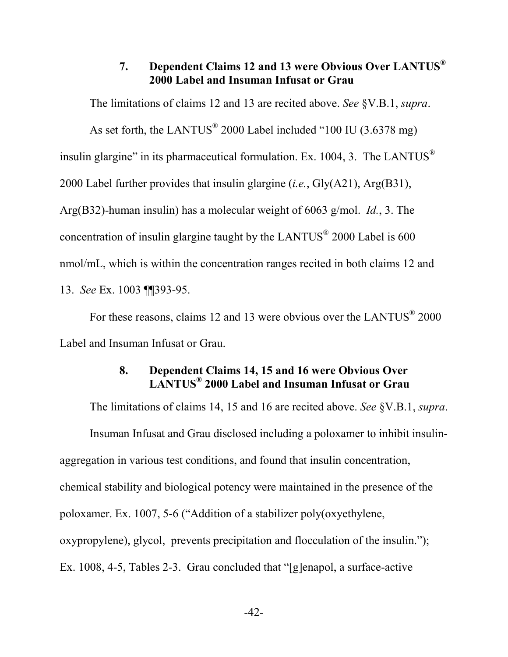# **7. Dependent Claims 12 and 13 were Obvious Over LANTUS® 2000 Label and Insuman Infusat or Grau**

The limitations of claims 12 and 13 are recited above. *See* §V.B.1, *supra*.

As set forth, the LANTUS<sup>®</sup> 2000 Label included "100 IU (3.6378 mg) insulin glargine" in its pharmaceutical formulation. Ex. 1004, 3. The LANTUS<sup>®</sup> 2000 Label further provides that insulin glargine (*i.e.*, Gly(A21), Arg(B31), Arg(B32)-human insulin) has a molecular weight of 6063 g/mol. *Id.*, 3. The concentration of insulin glargine taught by the LANTUS $^{\circ}$  2000 Label is 600 nmol/mL, which is within the concentration ranges recited in both claims 12 and 13. *See* Ex. 1003 ¶¶393-95.

For these reasons, claims 12 and 13 were obvious over the LANTUS $^{\circ}$  2000 Label and Insuman Infusat or Grau.

# **8. Dependent Claims 14, 15 and 16 were Obvious Over LANTUS® 2000 Label and Insuman Infusat or Grau**

The limitations of claims 14, 15 and 16 are recited above. *See* §V.B.1, *supra*. Insuman Infusat and Grau disclosed including a poloxamer to inhibit insulinaggregation in various test conditions, and found that insulin concentration, chemical stability and biological potency were maintained in the presence of the poloxamer. Ex. 1007, 5-6 ("Addition of a stabilizer poly(oxyethylene, oxypropylene), glycol, prevents precipitation and flocculation of the insulin."); Ex. 1008, 4-5, Tables 2-3. Grau concluded that "[g]enapol, a surface-active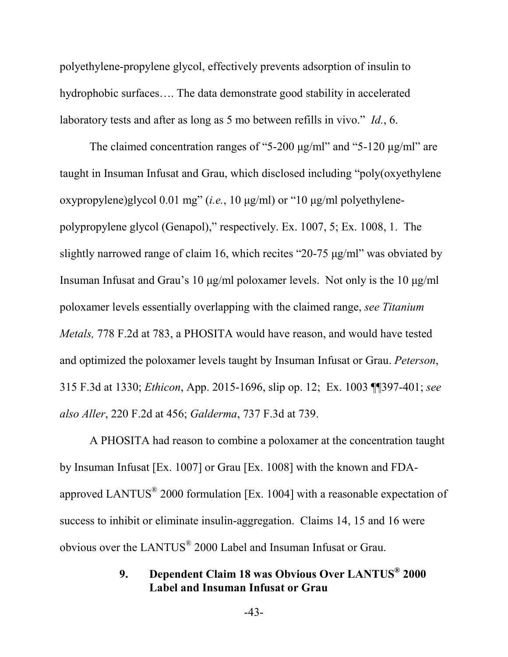polyethylene-propylene glycol, effectively prevents adsorption of insulin to hydrophobic surfaces…. The data demonstrate good stability in accelerated laboratory tests and after as long as 5 mo between refills in vivo." *Id.*, 6.

The claimed concentration ranges of "5-200  $\mu$ g/ml" and "5-120  $\mu$ g/ml" are taught in Insuman Infusat and Grau, which disclosed including "poly(oxyethylene oxypropylene)glycol 0.01 mg" (*i.e.*, 10 μg/ml) or "10 μg/ml polyethylenepolypropylene glycol (Genapol)," respectively. Ex. 1007, 5; Ex. 1008, 1. The slightly narrowed range of claim 16, which recites "20-75 μg/ml" was obviated by Insuman Infusat and Grau's 10 μg/ml poloxamer levels. Not only is the 10 μg/ml poloxamer levels essentially overlapping with the claimed range, *see Titanium Metals,* 778 F.2d at 783, a PHOSITA would have reason, and would have tested and optimized the poloxamer levels taught by Insuman Infusat or Grau. *Peterson*, 315 F.3d at 1330; *Ethicon*, App. 2015-1696, slip op. 12; Ex. 1003 ¶¶397-401; *see also Aller*, 220 F.2d at 456; *Galderma*, 737 F.3d at 739.

A PHOSITA had reason to combine a poloxamer at the concentration taught by Insuman Infusat [Ex. 1007] or Grau [Ex. 1008] with the known and FDAapproved LANTUS<sup>®</sup> 2000 formulation [Ex. 1004] with a reasonable expectation of success to inhibit or eliminate insulin-aggregation. Claims 14, 15 and 16 were obvious over the LANTUS $^{\circ}$  2000 Label and Insuman Infusat or Grau.

# **9. Dependent Claim 18 was Obvious Over LANTUS® 2000 Label and Insuman Infusat or Grau**

-43-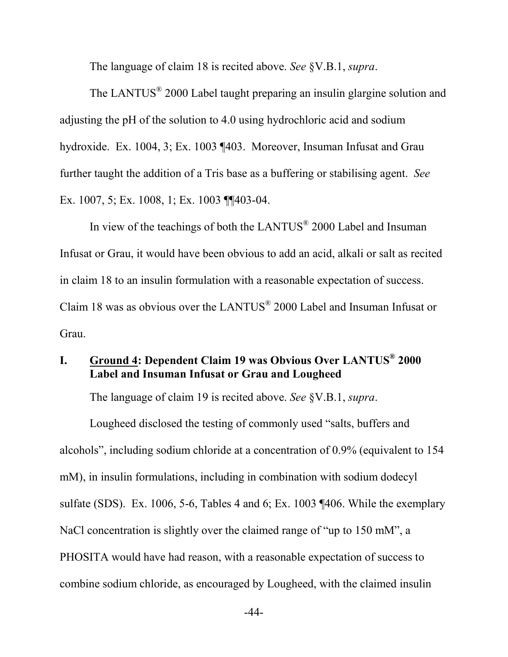The language of claim 18 is recited above. *See* §V.B.1, *supra*.

The LANTUS<sup>®</sup> 2000 Label taught preparing an insulin glargine solution and adjusting the pH of the solution to 4.0 using hydrochloric acid and sodium hydroxide. Ex. 1004, 3; Ex. 1003 ¶403. Moreover, Insuman Infusat and Grau further taught the addition of a Tris base as a buffering or stabilising agent. *See* Ex. 1007, 5; Ex. 1008, 1; Ex. 1003 ¶¶403-04.

In view of the teachings of both the LANTUS<sup>®</sup> 2000 Label and Insuman Infusat or Grau, it would have been obvious to add an acid, alkali or salt as recited in claim 18 to an insulin formulation with a reasonable expectation of success. Claim 18 was as obvious over the LANTUS $^{\circ\!\!\!2}$  2000 Label and Insuman Infusat or Grau.

# **I. Ground 4: Dependent Claim 19 was Obvious Over LANTUS® 2000 Label and Insuman Infusat or Grau and Lougheed**

The language of claim 19 is recited above. *See* §V.B.1, *supra*.

Lougheed disclosed the testing of commonly used "salts, buffers and alcohols", including sodium chloride at a concentration of 0.9% (equivalent to 154 mM), in insulin formulations, including in combination with sodium dodecyl sulfate (SDS). Ex. 1006, 5-6, Tables 4 and 6; Ex. 1003 ¶406. While the exemplary NaCl concentration is slightly over the claimed range of "up to 150 mM", a PHOSITA would have had reason, with a reasonable expectation of success to combine sodium chloride, as encouraged by Lougheed, with the claimed insulin

-44-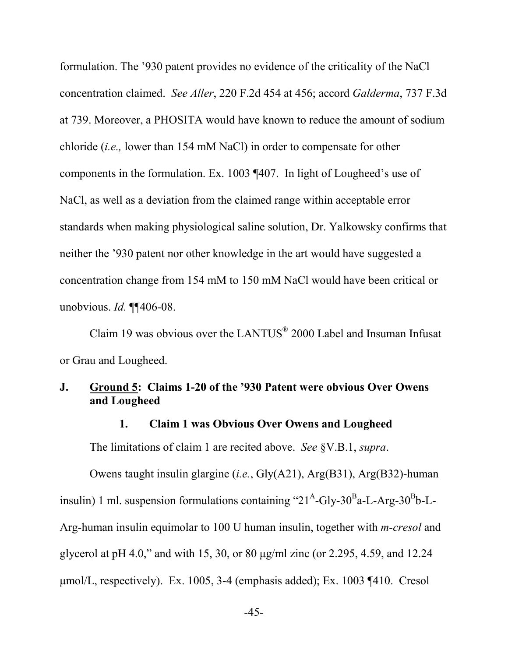formulation. The '930 patent provides no evidence of the criticality of the NaCl concentration claimed. *See Aller*, 220 F.2d 454 at 456; accord *Galderma*, 737 F.3d at 739. Moreover, a PHOSITA would have known to reduce the amount of sodium chloride (*i.e.,* lower than 154 mM NaCl) in order to compensate for other components in the formulation. Ex. 1003 ¶407. In light of Lougheed's use of NaCl, as well as a deviation from the claimed range within acceptable error standards when making physiological saline solution, Dr. Yalkowsky confirms that neither the '930 patent nor other knowledge in the art would have suggested a concentration change from 154 mM to 150 mM NaCl would have been critical or unobvious. *Id.* ¶¶406-08.

Claim 19 was obvious over the LANTUS $^{\circ}$  2000 Label and Insuman Infusat or Grau and Lougheed.

# **J. Ground 5: Claims 1-20 of the '930 Patent were obvious Over Owens and Lougheed**

#### **1. Claim 1 was Obvious Over Owens and Lougheed**

The limitations of claim 1 are recited above. *See* §V.B.1, *supra*.

Owens taught insulin glargine (*i.e.*, Gly(A21), Arg(B31), Arg(B32)-human insulin) 1 ml. suspension formulations containing "21<sup>A</sup>-Gly-30<sup>B</sup>a-L-Arg-30<sup>B</sup>b-L-Arg-human insulin equimolar to 100 U human insulin, together with *m-cresol* and glycerol at pH 4.0," and with 15, 30, or 80 μg/ml zinc (or 2.295, 4.59, and 12.24 μmol/L, respectively). Ex. 1005, 3-4 (emphasis added); Ex. 1003 ¶410. Cresol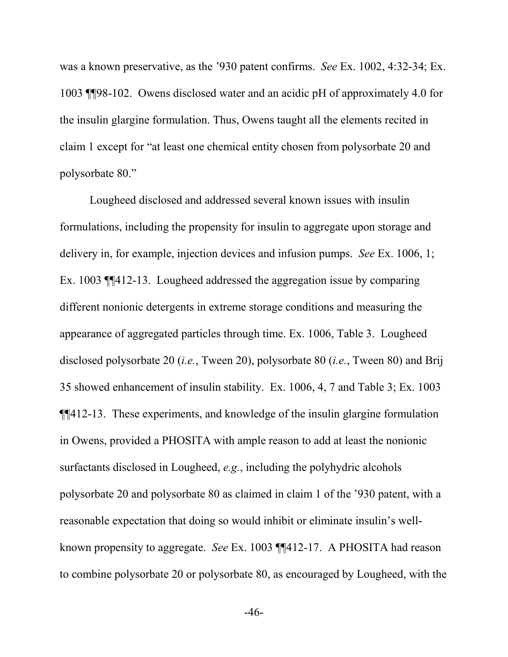was a known preservative, as the '930 patent confirms. *See* Ex. 1002, 4:32-34; Ex. 1003 ¶¶98-102. Owens disclosed water and an acidic pH of approximately 4.0 for the insulin glargine formulation. Thus, Owens taught all the elements recited in claim 1 except for "at least one chemical entity chosen from polysorbate 20 and polysorbate 80."

Lougheed disclosed and addressed several known issues with insulin formulations, including the propensity for insulin to aggregate upon storage and delivery in, for example, injection devices and infusion pumps. *See* Ex. 1006, 1; Ex. 1003 ¶¶412-13. Lougheed addressed the aggregation issue by comparing different nonionic detergents in extreme storage conditions and measuring the appearance of aggregated particles through time. Ex. 1006, Table 3. Lougheed disclosed polysorbate 20 (*i.e.*, Tween 20), polysorbate 80 (*i.e.*, Tween 80) and Brij 35 showed enhancement of insulin stability. Ex. 1006, 4, 7 and Table 3; Ex. 1003 ¶¶412-13. These experiments, and knowledge of the insulin glargine formulation in Owens, provided a PHOSITA with ample reason to add at least the nonionic surfactants disclosed in Lougheed, *e.g.*, including the polyhydric alcohols polysorbate 20 and polysorbate 80 as claimed in claim 1 of the '930 patent, with a reasonable expectation that doing so would inhibit or eliminate insulin's wellknown propensity to aggregate. *See* Ex. 1003 ¶¶412-17. A PHOSITA had reason to combine polysorbate 20 or polysorbate 80, as encouraged by Lougheed, with the

-46-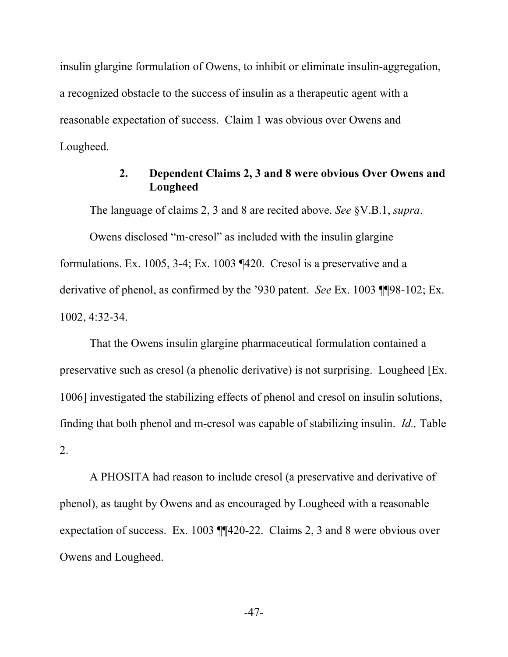insulin glargine formulation of Owens, to inhibit or eliminate insulin-aggregation, a recognized obstacle to the success of insulin as a therapeutic agent with a reasonable expectation of success. Claim 1 was obvious over Owens and Lougheed.

#### **2. Dependent Claims 2, 3 and 8 were obvious Over Owens and Lougheed**

The language of claims 2, 3 and 8 are recited above. *See* §V.B.1, *supra*.

Owens disclosed "m-cresol" as included with the insulin glargine formulations. Ex. 1005, 3-4; Ex. 1003 ¶420. Cresol is a preservative and a derivative of phenol, as confirmed by the '930 patent. *See* Ex. 1003 ¶¶98-102; Ex. 1002, 4:32-34.

That the Owens insulin glargine pharmaceutical formulation contained a preservative such as cresol (a phenolic derivative) is not surprising. Lougheed [Ex. 1006] investigated the stabilizing effects of phenol and cresol on insulin solutions, finding that both phenol and m-cresol was capable of stabilizing insulin. *Id.,* Table 2.

A PHOSITA had reason to include cresol (a preservative and derivative of phenol), as taught by Owens and as encouraged by Lougheed with a reasonable expectation of success. Ex. 1003 ¶¶420-22. Claims 2, 3 and 8 were obvious over Owens and Lougheed.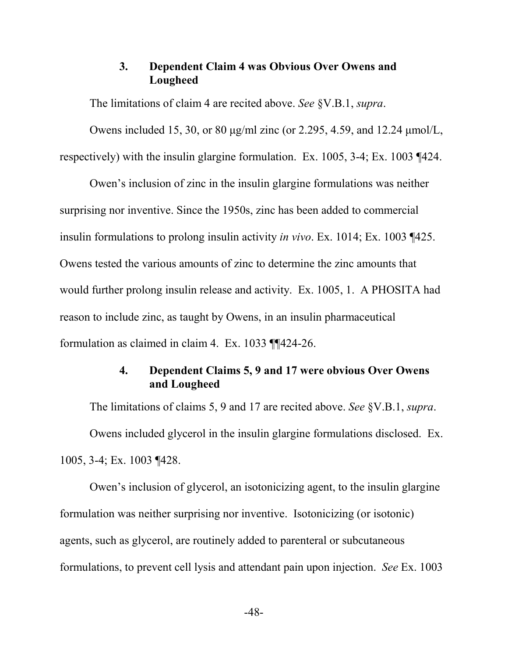#### **3. Dependent Claim 4 was Obvious Over Owens and Lougheed**

The limitations of claim 4 are recited above. *See* §V.B.1, *supra*.

Owens included 15, 30, or 80 μg/ml zinc (or 2.295, 4.59, and 12.24 μmol/L, respectively) with the insulin glargine formulation. Ex. 1005, 3-4; Ex. 1003 ¶424.

Owen's inclusion of zinc in the insulin glargine formulations was neither surprising nor inventive. Since the 1950s, zinc has been added to commercial insulin formulations to prolong insulin activity *in vivo*. Ex. 1014; Ex. 1003 ¶425. Owens tested the various amounts of zinc to determine the zinc amounts that would further prolong insulin release and activity. Ex. 1005, 1. A PHOSITA had reason to include zinc, as taught by Owens, in an insulin pharmaceutical formulation as claimed in claim 4. Ex. 1033 ¶¶424-26.

# **4. Dependent Claims 5, 9 and 17 were obvious Over Owens and Lougheed**

The limitations of claims 5, 9 and 17 are recited above. *See* §V.B.1, *supra*. Owens included glycerol in the insulin glargine formulations disclosed. Ex. 1005, 3-4; Ex. 1003 ¶428.

Owen's inclusion of glycerol, an isotonicizing agent, to the insulin glargine formulation was neither surprising nor inventive. Isotonicizing (or isotonic) agents, such as glycerol, are routinely added to parenteral or subcutaneous formulations, to prevent cell lysis and attendant pain upon injection. *See* Ex. 1003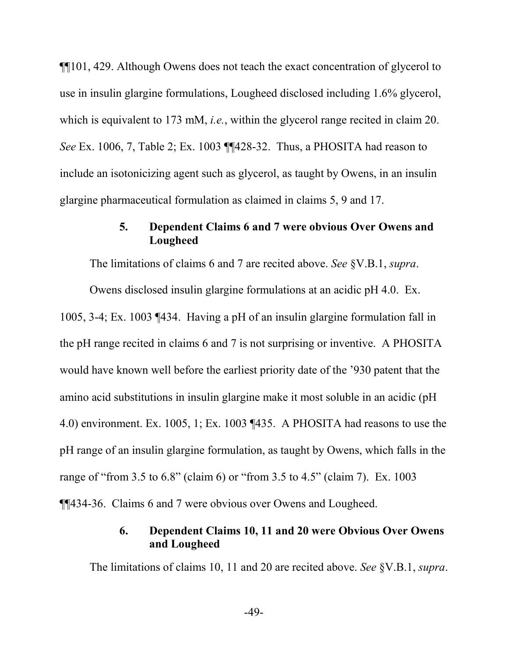¶¶101, 429. Although Owens does not teach the exact concentration of glycerol to use in insulin glargine formulations, Lougheed disclosed including 1.6% glycerol, which is equivalent to 173 mM, *i.e.*, within the glycerol range recited in claim 20. *See* Ex. 1006, 7, Table 2; Ex. 1003 ¶¶428-32. Thus, a PHOSITA had reason to include an isotonicizing agent such as glycerol, as taught by Owens, in an insulin glargine pharmaceutical formulation as claimed in claims 5, 9 and 17.

### **5. Dependent Claims 6 and 7 were obvious Over Owens and Lougheed**

The limitations of claims 6 and 7 are recited above. *See* §V.B.1, *supra*.

Owens disclosed insulin glargine formulations at an acidic pH 4.0. Ex. 1005, 3-4; Ex. 1003 ¶434. Having a pH of an insulin glargine formulation fall in the pH range recited in claims 6 and 7 is not surprising or inventive. A PHOSITA would have known well before the earliest priority date of the '930 patent that the amino acid substitutions in insulin glargine make it most soluble in an acidic (pH 4.0) environment. Ex. 1005, 1; Ex. 1003 ¶435. A PHOSITA had reasons to use the pH range of an insulin glargine formulation, as taught by Owens, which falls in the range of "from 3.5 to 6.8" (claim 6) or "from 3.5 to 4.5" (claim 7). Ex. 1003 ¶¶434-36. Claims 6 and 7 were obvious over Owens and Lougheed.

### **6. Dependent Claims 10, 11 and 20 were Obvious Over Owens and Lougheed**

The limitations of claims 10, 11 and 20 are recited above. *See* §V.B.1, *supra*.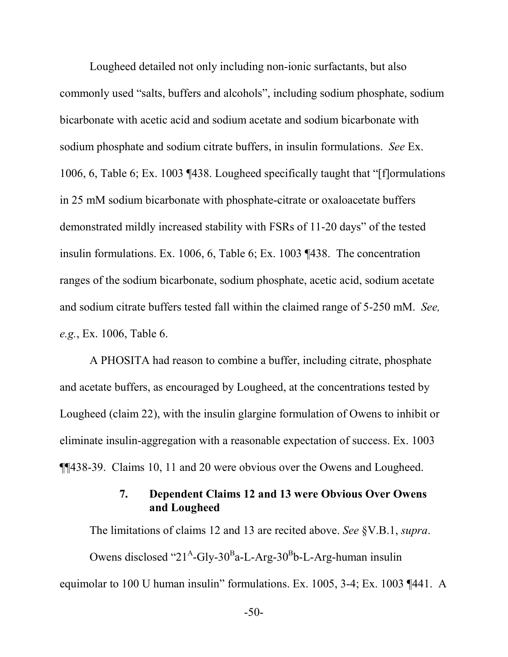Lougheed detailed not only including non-ionic surfactants, but also commonly used "salts, buffers and alcohols", including sodium phosphate, sodium bicarbonate with acetic acid and sodium acetate and sodium bicarbonate with sodium phosphate and sodium citrate buffers, in insulin formulations. *See* Ex. 1006, 6, Table 6; Ex. 1003 ¶438. Lougheed specifically taught that "[f]ormulations in 25 mM sodium bicarbonate with phosphate-citrate or oxaloacetate buffers demonstrated mildly increased stability with FSRs of 11-20 days" of the tested insulin formulations. Ex. 1006, 6, Table 6; Ex. 1003 ¶438. The concentration ranges of the sodium bicarbonate, sodium phosphate, acetic acid, sodium acetate and sodium citrate buffers tested fall within the claimed range of 5-250 mM. *See, e.g.*, Ex. 1006, Table 6.

A PHOSITA had reason to combine a buffer, including citrate, phosphate and acetate buffers, as encouraged by Lougheed, at the concentrations tested by Lougheed (claim 22), with the insulin glargine formulation of Owens to inhibit or eliminate insulin-aggregation with a reasonable expectation of success. Ex. 1003 ¶¶438-39. Claims 10, 11 and 20 were obvious over the Owens and Lougheed.

### **7. Dependent Claims 12 and 13 were Obvious Over Owens and Lougheed**

The limitations of claims 12 and 13 are recited above. *See* §V.B.1, *supra*. Owens disclosed " $21^{\text{A}}$ -Gly-30<sup>B</sup>a-L-Arg-30<sup>B</sup>b-L-Arg-human insulin equimolar to 100 U human insulin" formulations. Ex. 1005, 3-4; Ex. 1003 ¶441. A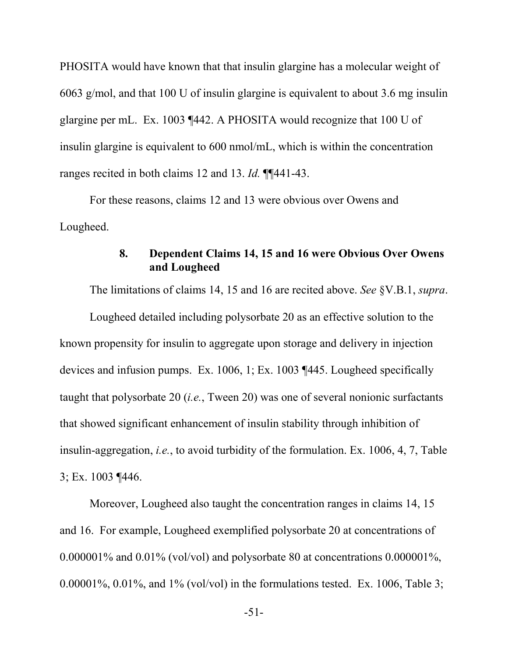PHOSITA would have known that that insulin glargine has a molecular weight of 6063 g/mol, and that 100 U of insulin glargine is equivalent to about 3.6 mg insulin glargine per mL. Ex. 1003 ¶442. A PHOSITA would recognize that 100 U of insulin glargine is equivalent to 600 nmol/mL, which is within the concentration ranges recited in both claims 12 and 13. *Id.* ¶¶441-43.

For these reasons, claims 12 and 13 were obvious over Owens and Lougheed.

### **8. Dependent Claims 14, 15 and 16 were Obvious Over Owens and Lougheed**

The limitations of claims 14, 15 and 16 are recited above. *See* §V.B.1, *supra*.

Lougheed detailed including polysorbate 20 as an effective solution to the known propensity for insulin to aggregate upon storage and delivery in injection devices and infusion pumps. Ex. 1006, 1; Ex. 1003 ¶445. Lougheed specifically taught that polysorbate 20 (*i.e.*, Tween 20) was one of several nonionic surfactants that showed significant enhancement of insulin stability through inhibition of insulin-aggregation, *i.e.*, to avoid turbidity of the formulation. Ex. 1006, 4, 7, Table 3; Ex. 1003 ¶446.

Moreover, Lougheed also taught the concentration ranges in claims 14, 15 and 16. For example, Lougheed exemplified polysorbate 20 at concentrations of 0.000001% and 0.01% (vol/vol) and polysorbate 80 at concentrations 0.000001%, 0.00001%, 0.01%, and  $1\%$  (vol/vol) in the formulations tested. Ex. 1006, Table 3;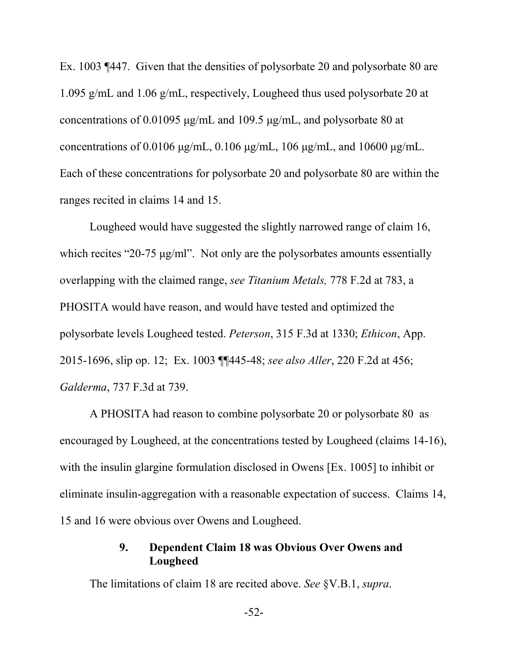Ex. 1003 ¶447. Given that the densities of polysorbate 20 and polysorbate 80 are 1.095 g/mL and 1.06 g/mL, respectively, Lougheed thus used polysorbate 20 at concentrations of 0.01095 μg/mL and 109.5 μg/mL, and polysorbate 80 at concentrations of 0.0106 μg/mL, 0.106 μg/mL, 106 μg/mL, and 10600 μg/mL. Each of these concentrations for polysorbate 20 and polysorbate 80 are within the ranges recited in claims 14 and 15.

Lougheed would have suggested the slightly narrowed range of claim 16, which recites "20-75 μg/ml". Not only are the polysorbates amounts essentially overlapping with the claimed range, *see Titanium Metals,* 778 F.2d at 783, a PHOSITA would have reason, and would have tested and optimized the polysorbate levels Lougheed tested. *Peterson*, 315 F.3d at 1330; *Ethicon*, App. 2015-1696, slip op. 12; Ex. 1003 ¶¶445-48; *see also Aller*, 220 F.2d at 456; *Galderma*, 737 F.3d at 739.

A PHOSITA had reason to combine polysorbate 20 or polysorbate 80 as encouraged by Lougheed, at the concentrations tested by Lougheed (claims 14-16), with the insulin glargine formulation disclosed in Owens [Ex. 1005] to inhibit or eliminate insulin-aggregation with a reasonable expectation of success. Claims 14, 15 and 16 were obvious over Owens and Lougheed.

### **9. Dependent Claim 18 was Obvious Over Owens and Lougheed**

The limitations of claim 18 are recited above. *See* §V.B.1, *supra*.

-52-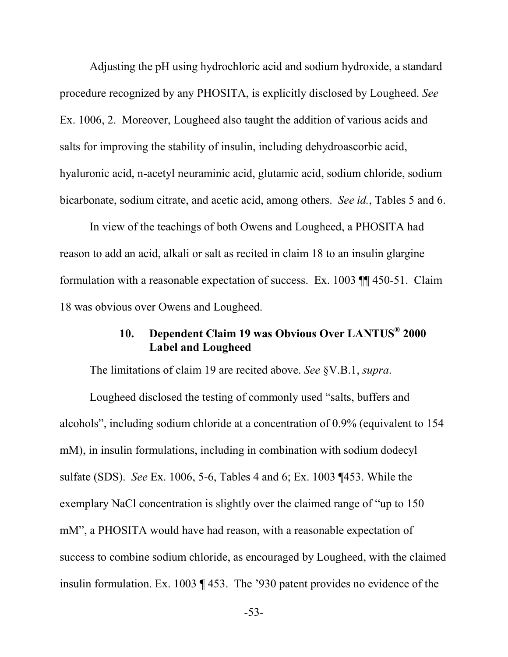Adjusting the pH using hydrochloric acid and sodium hydroxide, a standard procedure recognized by any PHOSITA, is explicitly disclosed by Lougheed. *See*  Ex. 1006, 2. Moreover, Lougheed also taught the addition of various acids and salts for improving the stability of insulin, including dehydroascorbic acid, hyaluronic acid, n-acetyl neuraminic acid, glutamic acid, sodium chloride, sodium bicarbonate, sodium citrate, and acetic acid, among others. *See id.*, Tables 5 and 6.

In view of the teachings of both Owens and Lougheed, a PHOSITA had reason to add an acid, alkali or salt as recited in claim 18 to an insulin glargine formulation with a reasonable expectation of success. Ex. 1003 ¶¶ 450-51. Claim 18 was obvious over Owens and Lougheed.

# **10. Dependent Claim 19 was Obvious Over LANTUS® 2000 Label and Lougheed**

The limitations of claim 19 are recited above. *See* §V.B.1, *supra*.

Lougheed disclosed the testing of commonly used "salts, buffers and alcohols", including sodium chloride at a concentration of 0.9% (equivalent to 154 mM), in insulin formulations, including in combination with sodium dodecyl sulfate (SDS). *See* Ex. 1006, 5-6, Tables 4 and 6; Ex. 1003 ¶453. While the exemplary NaCl concentration is slightly over the claimed range of "up to 150 mM", a PHOSITA would have had reason, with a reasonable expectation of success to combine sodium chloride, as encouraged by Lougheed, with the claimed insulin formulation. Ex. 1003 ¶ 453. The '930 patent provides no evidence of the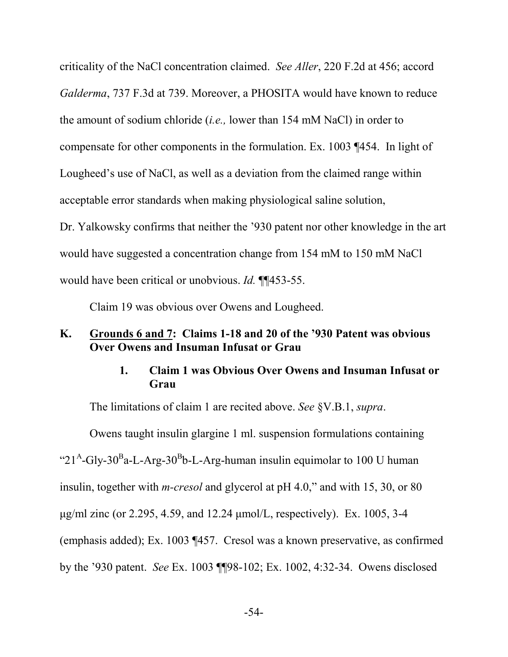criticality of the NaCl concentration claimed. *See Aller*, 220 F.2d at 456; accord *Galderma*, 737 F.3d at 739. Moreover, a PHOSITA would have known to reduce the amount of sodium chloride (*i.e.,* lower than 154 mM NaCl) in order to compensate for other components in the formulation. Ex. 1003 ¶454. In light of Lougheed's use of NaCl, as well as a deviation from the claimed range within acceptable error standards when making physiological saline solution, Dr. Yalkowsky confirms that neither the '930 patent nor other knowledge in the art would have suggested a concentration change from 154 mM to 150 mM NaCl would have been critical or unobvious. *Id.* ¶¶453-55.

Claim 19 was obvious over Owens and Lougheed.

### **K. Grounds 6 and 7: Claims 1-18 and 20 of the '930 Patent was obvious Over Owens and Insuman Infusat or Grau**

### **1. Claim 1 was Obvious Over Owens and Insuman Infusat or Grau**

The limitations of claim 1 are recited above. *See* §V.B.1, *supra*.

Owens taught insulin glargine 1 ml. suspension formulations containing " $21<sup>A</sup>$ -Gly-30<sup>B</sup>a-L-Arg-30<sup>B</sup>b-L-Arg-human insulin equimolar to 100 U human insulin, together with *m-cresol* and glycerol at pH 4.0," and with 15, 30, or 80 μg/ml zinc (or 2.295, 4.59, and 12.24 μmol/L, respectively). Ex. 1005, 3-4 (emphasis added); Ex. 1003 ¶457. Cresol was a known preservative, as confirmed by the '930 patent. *See* Ex. 1003 ¶¶98-102; Ex. 1002, 4:32-34. Owens disclosed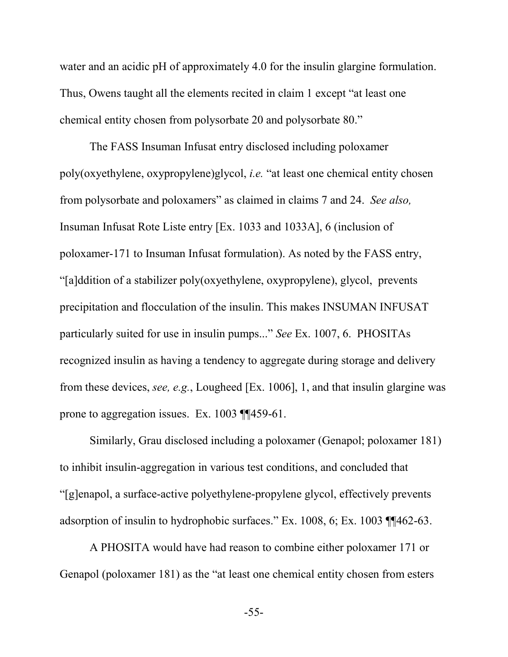water and an acidic pH of approximately 4.0 for the insulin glargine formulation. Thus, Owens taught all the elements recited in claim 1 except "at least one chemical entity chosen from polysorbate 20 and polysorbate 80."

The FASS Insuman Infusat entry disclosed including poloxamer poly(oxyethylene, oxypropylene)glycol, *i.e.* "at least one chemical entity chosen from polysorbate and poloxamers" as claimed in claims 7 and 24. *See also,* Insuman Infusat Rote Liste entry [Ex. 1033 and 1033A], 6 (inclusion of poloxamer-171 to Insuman Infusat formulation). As noted by the FASS entry, "[a]ddition of a stabilizer poly(oxyethylene, oxypropylene), glycol, prevents precipitation and flocculation of the insulin. This makes INSUMAN INFUSAT particularly suited for use in insulin pumps..." *See* Ex. 1007, 6. PHOSITAs recognized insulin as having a tendency to aggregate during storage and delivery from these devices, *see, e.g.*, Lougheed [Ex. 1006], 1, and that insulin glargine was prone to aggregation issues. Ex. 1003 ¶¶459-61.

Similarly, Grau disclosed including a poloxamer (Genapol; poloxamer 181) to inhibit insulin-aggregation in various test conditions, and concluded that "[g]enapol, a surface-active polyethylene-propylene glycol, effectively prevents adsorption of insulin to hydrophobic surfaces." Ex. 1008, 6; Ex. 1003 ¶¶462-63.

A PHOSITA would have had reason to combine either poloxamer 171 or Genapol (poloxamer 181) as the "at least one chemical entity chosen from esters

-55-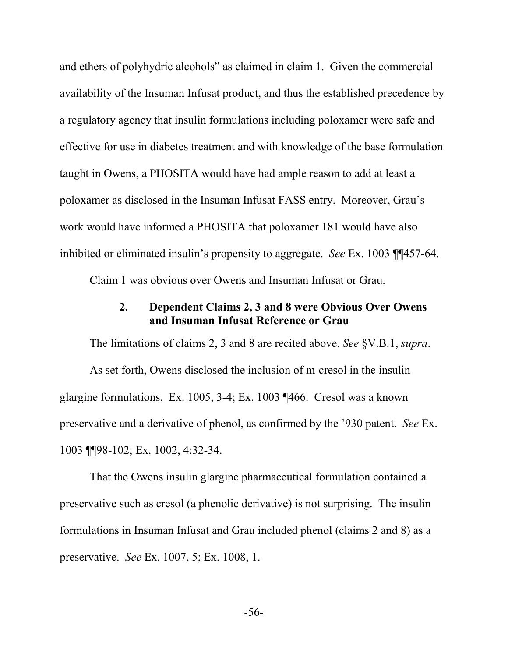and ethers of polyhydric alcohols" as claimed in claim 1. Given the commercial availability of the Insuman Infusat product, and thus the established precedence by a regulatory agency that insulin formulations including poloxamer were safe and effective for use in diabetes treatment and with knowledge of the base formulation taught in Owens, a PHOSITA would have had ample reason to add at least a poloxamer as disclosed in the Insuman Infusat FASS entry. Moreover, Grau's work would have informed a PHOSITA that poloxamer 181 would have also inhibited or eliminated insulin's propensity to aggregate. *See* Ex. 1003 ¶¶457-64.

Claim 1 was obvious over Owens and Insuman Infusat or Grau.

#### **2. Dependent Claims 2, 3 and 8 were Obvious Over Owens and Insuman Infusat Reference or Grau**

The limitations of claims 2, 3 and 8 are recited above. *See* §V.B.1, *supra*. As set forth, Owens disclosed the inclusion of m-cresol in the insulin glargine formulations. Ex. 1005, 3-4; Ex. 1003 ¶466. Cresol was a known preservative and a derivative of phenol, as confirmed by the '930 patent. *See* Ex. 1003 ¶¶98-102; Ex. 1002, 4:32-34.

That the Owens insulin glargine pharmaceutical formulation contained a preservative such as cresol (a phenolic derivative) is not surprising. The insulin formulations in Insuman Infusat and Grau included phenol (claims 2 and 8) as a preservative. *See* Ex. 1007, 5; Ex. 1008, 1.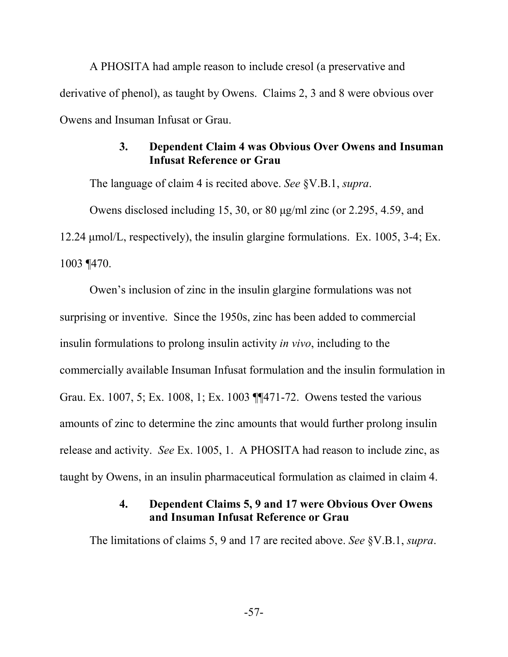A PHOSITA had ample reason to include cresol (a preservative and derivative of phenol), as taught by Owens. Claims 2, 3 and 8 were obvious over Owens and Insuman Infusat or Grau.

### **3. Dependent Claim 4 was Obvious Over Owens and Insuman Infusat Reference or Grau**

The language of claim 4 is recited above. *See* §V.B.1, *supra*.

Owens disclosed including 15, 30, or 80 μg/ml zinc (or 2.295, 4.59, and 12.24 μmol/L, respectively), the insulin glargine formulations. Ex. 1005, 3-4; Ex. 1003 ¶470.

Owen's inclusion of zinc in the insulin glargine formulations was not surprising or inventive. Since the 1950s, zinc has been added to commercial insulin formulations to prolong insulin activity *in vivo*, including to the commercially available Insuman Infusat formulation and the insulin formulation in Grau. Ex. 1007, 5; Ex. 1008, 1; Ex. 1003 ¶¶471-72. Owens tested the various amounts of zinc to determine the zinc amounts that would further prolong insulin release and activity. *See* Ex. 1005, 1. A PHOSITA had reason to include zinc, as taught by Owens, in an insulin pharmaceutical formulation as claimed in claim 4.

### **4. Dependent Claims 5, 9 and 17 were Obvious Over Owens and Insuman Infusat Reference or Grau**

The limitations of claims 5, 9 and 17 are recited above. *See* §V.B.1, *supra*.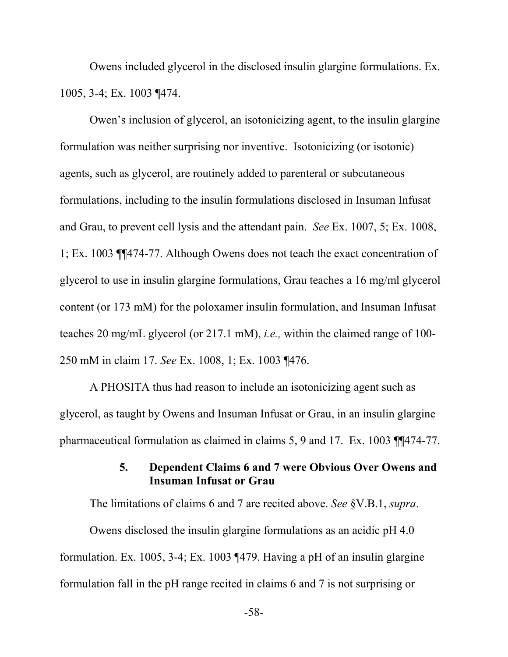Owens included glycerol in the disclosed insulin glargine formulations. Ex. 1005, 3-4; Ex. 1003 ¶474.

Owen's inclusion of glycerol, an isotonicizing agent, to the insulin glargine formulation was neither surprising nor inventive. Isotonicizing (or isotonic) agents, such as glycerol, are routinely added to parenteral or subcutaneous formulations, including to the insulin formulations disclosed in Insuman Infusat and Grau, to prevent cell lysis and the attendant pain. *See* Ex. 1007, 5; Ex. 1008, 1; Ex. 1003 ¶¶474-77. Although Owens does not teach the exact concentration of glycerol to use in insulin glargine formulations, Grau teaches a 16 mg/ml glycerol content (or 173 mM) for the poloxamer insulin formulation, and Insuman Infusat teaches 20 mg/mL glycerol (or 217.1 mM), *i.e.,* within the claimed range of 100- 250 mM in claim 17. *See* Ex. 1008, 1; Ex. 1003 ¶476.

A PHOSITA thus had reason to include an isotonicizing agent such as glycerol, as taught by Owens and Insuman Infusat or Grau, in an insulin glargine pharmaceutical formulation as claimed in claims 5, 9 and 17. Ex. 1003 ¶¶474-77.

### **5. Dependent Claims 6 and 7 were Obvious Over Owens and Insuman Infusat or Grau**

The limitations of claims 6 and 7 are recited above. *See* §V.B.1, *supra*.

Owens disclosed the insulin glargine formulations as an acidic pH 4.0 formulation. Ex. 1005, 3-4; Ex. 1003 ¶479. Having a pH of an insulin glargine formulation fall in the pH range recited in claims 6 and 7 is not surprising or

-58-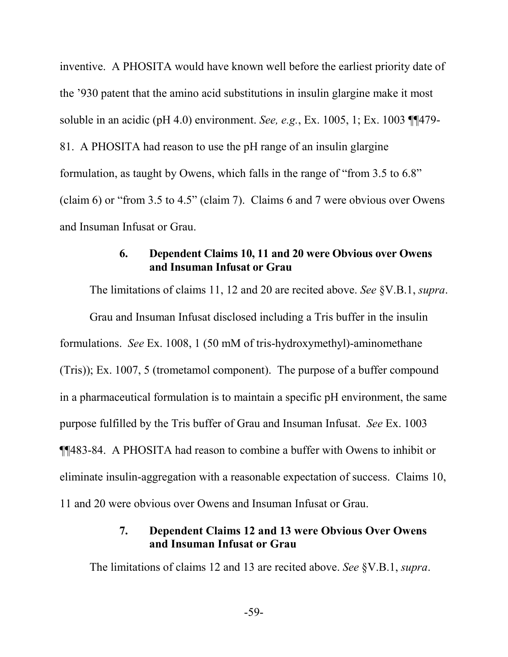inventive. A PHOSITA would have known well before the earliest priority date of the '930 patent that the amino acid substitutions in insulin glargine make it most soluble in an acidic (pH 4.0) environment. *See, e.g.*, Ex. 1005, 1; Ex. 1003 ¶¶479- 81. A PHOSITA had reason to use the pH range of an insulin glargine formulation, as taught by Owens, which falls in the range of "from 3.5 to 6.8" (claim 6) or "from 3.5 to 4.5" (claim 7). Claims 6 and 7 were obvious over Owens and Insuman Infusat or Grau.

#### **6. Dependent Claims 10, 11 and 20 were Obvious over Owens and Insuman Infusat or Grau**

The limitations of claims 11, 12 and 20 are recited above. *See* §V.B.1, *supra*. Grau and Insuman Infusat disclosed including a Tris buffer in the insulin formulations. *See* Ex. 1008, 1 (50 mM of tris-hydroxymethyl)-aminomethane (Tris)); Ex. 1007, 5 (trometamol component). The purpose of a buffer compound in a pharmaceutical formulation is to maintain a specific pH environment, the same purpose fulfilled by the Tris buffer of Grau and Insuman Infusat. *See* Ex. 1003 ¶¶483-84. A PHOSITA had reason to combine a buffer with Owens to inhibit or eliminate insulin-aggregation with a reasonable expectation of success. Claims 10, 11 and 20 were obvious over Owens and Insuman Infusat or Grau.

### **7. Dependent Claims 12 and 13 were Obvious Over Owens and Insuman Infusat or Grau**

The limitations of claims 12 and 13 are recited above. *See* §V.B.1, *supra*.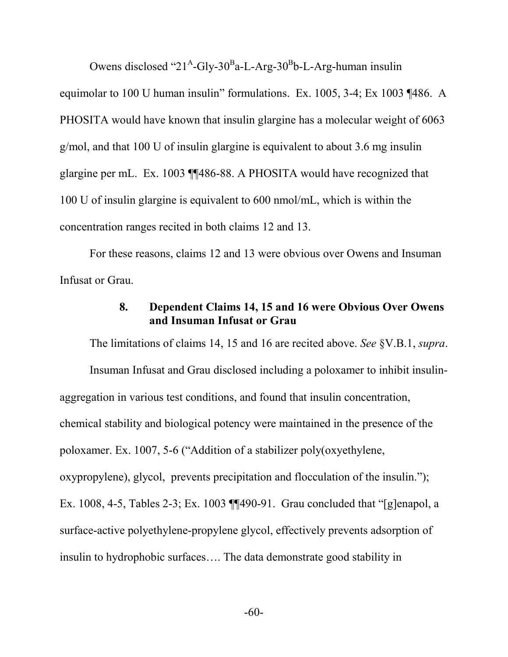Owens disclosed " $21^{\text{A}}$ -Gly-30<sup>B</sup>a-L-Arg-30<sup>B</sup>b-L-Arg-human insulin equimolar to 100 U human insulin" formulations. Ex. 1005, 3-4; Ex 1003 ¶486. A PHOSITA would have known that insulin glargine has a molecular weight of 6063 g/mol, and that 100 U of insulin glargine is equivalent to about 3.6 mg insulin glargine per mL. Ex. 1003 ¶¶486-88. A PHOSITA would have recognized that 100 U of insulin glargine is equivalent to 600 nmol/mL, which is within the concentration ranges recited in both claims 12 and 13.

For these reasons, claims 12 and 13 were obvious over Owens and Insuman Infusat or Grau.

### **8. Dependent Claims 14, 15 and 16 were Obvious Over Owens and Insuman Infusat or Grau**

The limitations of claims 14, 15 and 16 are recited above. *See* §V.B.1, *supra*. Insuman Infusat and Grau disclosed including a poloxamer to inhibit insulinaggregation in various test conditions, and found that insulin concentration, chemical stability and biological potency were maintained in the presence of the poloxamer. Ex. 1007, 5-6 ("Addition of a stabilizer poly(oxyethylene, oxypropylene), glycol, prevents precipitation and flocculation of the insulin."); Ex. 1008, 4-5, Tables 2-3; Ex. 1003 ¶¶490-91. Grau concluded that "[g]enapol, a surface-active polyethylene-propylene glycol, effectively prevents adsorption of insulin to hydrophobic surfaces…. The data demonstrate good stability in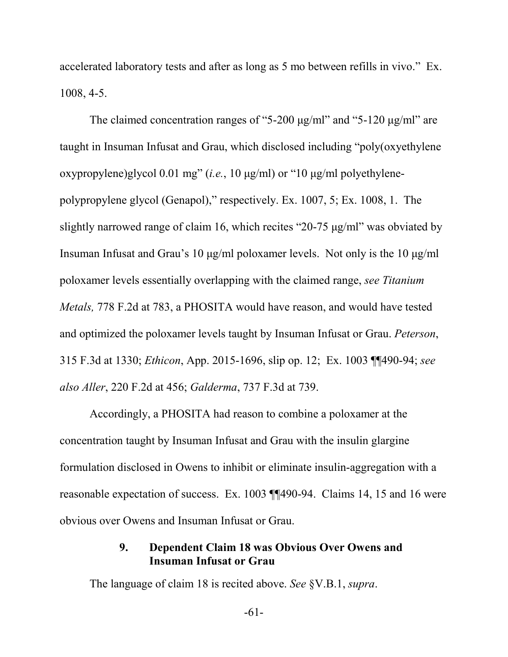accelerated laboratory tests and after as long as 5 mo between refills in vivo." Ex. 1008, 4-5.

The claimed concentration ranges of "5-200  $\mu$ g/ml" and "5-120  $\mu$ g/ml" are taught in Insuman Infusat and Grau, which disclosed including "poly(oxyethylene oxypropylene)glycol 0.01 mg" (*i.e.*, 10 μg/ml) or "10 μg/ml polyethylenepolypropylene glycol (Genapol)," respectively. Ex. 1007, 5; Ex. 1008, 1. The slightly narrowed range of claim 16, which recites "20-75 μg/ml" was obviated by Insuman Infusat and Grau's 10 μg/ml poloxamer levels. Not only is the 10 μg/ml poloxamer levels essentially overlapping with the claimed range, *see Titanium Metals,* 778 F.2d at 783, a PHOSITA would have reason, and would have tested and optimized the poloxamer levels taught by Insuman Infusat or Grau. *Peterson*, 315 F.3d at 1330; *Ethicon*, App. 2015-1696, slip op. 12; Ex. 1003 ¶¶490-94; *see also Aller*, 220 F.2d at 456; *Galderma*, 737 F.3d at 739.

Accordingly, a PHOSITA had reason to combine a poloxamer at the concentration taught by Insuman Infusat and Grau with the insulin glargine formulation disclosed in Owens to inhibit or eliminate insulin-aggregation with a reasonable expectation of success. Ex. 1003 ¶¶490-94. Claims 14, 15 and 16 were obvious over Owens and Insuman Infusat or Grau.

## **9. Dependent Claim 18 was Obvious Over Owens and Insuman Infusat or Grau**

The language of claim 18 is recited above. *See* §V.B.1, *supra*.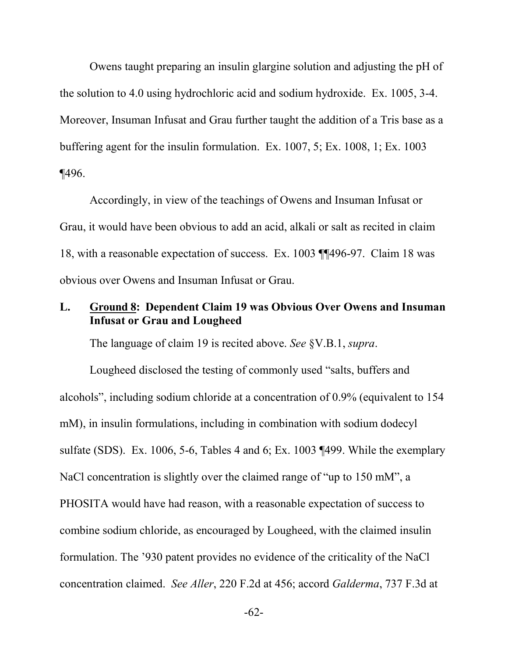Owens taught preparing an insulin glargine solution and adjusting the pH of the solution to 4.0 using hydrochloric acid and sodium hydroxide. Ex. 1005, 3-4. Moreover, Insuman Infusat and Grau further taught the addition of a Tris base as a buffering agent for the insulin formulation. Ex. 1007, 5; Ex. 1008, 1; Ex. 1003 ¶496.

Accordingly, in view of the teachings of Owens and Insuman Infusat or Grau, it would have been obvious to add an acid, alkali or salt as recited in claim 18, with a reasonable expectation of success. Ex. 1003 ¶¶496-97. Claim 18 was obvious over Owens and Insuman Infusat or Grau.

## **L. Ground 8: Dependent Claim 19 was Obvious Over Owens and Insuman Infusat or Grau and Lougheed**

The language of claim 19 is recited above. *See* §V.B.1, *supra*.

Lougheed disclosed the testing of commonly used "salts, buffers and alcohols", including sodium chloride at a concentration of 0.9% (equivalent to 154 mM), in insulin formulations, including in combination with sodium dodecyl sulfate (SDS). Ex. 1006, 5-6, Tables 4 and 6; Ex. 1003 ¶499. While the exemplary NaCl concentration is slightly over the claimed range of "up to 150 mM", a PHOSITA would have had reason, with a reasonable expectation of success to combine sodium chloride, as encouraged by Lougheed, with the claimed insulin formulation. The '930 patent provides no evidence of the criticality of the NaCl concentration claimed. *See Aller*, 220 F.2d at 456; accord *Galderma*, 737 F.3d at

-62-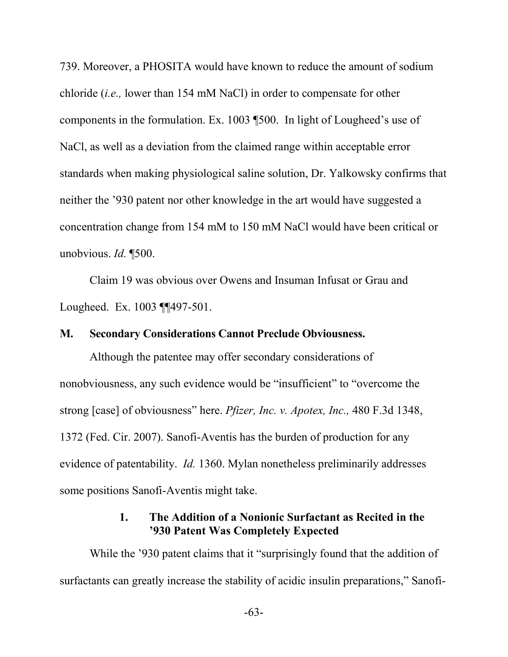739. Moreover, a PHOSITA would have known to reduce the amount of sodium chloride (*i.e.,* lower than 154 mM NaCl) in order to compensate for other components in the formulation. Ex. 1003 ¶500. In light of Lougheed's use of NaCl, as well as a deviation from the claimed range within acceptable error standards when making physiological saline solution, Dr. Yalkowsky confirms that neither the '930 patent nor other knowledge in the art would have suggested a concentration change from 154 mM to 150 mM NaCl would have been critical or unobvious. *Id.* ¶500.

Claim 19 was obvious over Owens and Insuman Infusat or Grau and Lougheed. Ex. 1003 ¶¶497-501.

#### **M. Secondary Considerations Cannot Preclude Obviousness.**

Although the patentee may offer secondary considerations of nonobviousness, any such evidence would be "insufficient" to "overcome the strong [case] of obviousness" here. *Pfizer, Inc. v. Apotex, Inc.,* 480 F.3d 1348, 1372 (Fed. Cir. 2007). Sanofi-Aventis has the burden of production for any evidence of patentability. *Id.* 1360. Mylan nonetheless preliminarily addresses some positions Sanofi-Aventis might take.

#### **1. The Addition of a Nonionic Surfactant as Recited in the '930 Patent Was Completely Expected**

While the '930 patent claims that it "surprisingly found that the addition of surfactants can greatly increase the stability of acidic insulin preparations," Sanofi-

-63-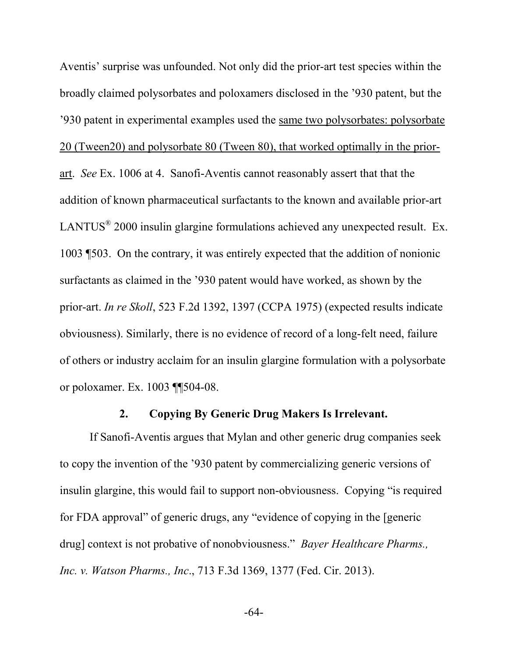Aventis' surprise was unfounded. Not only did the prior-art test species within the broadly claimed polysorbates and poloxamers disclosed in the '930 patent, but the '930 patent in experimental examples used the same two polysorbates: polysorbate 20 (Tween20) and polysorbate 80 (Tween 80), that worked optimally in the priorart. *See* Ex. 1006 at 4. Sanofi-Aventis cannot reasonably assert that that the addition of known pharmaceutical surfactants to the known and available prior-art LANTUS<sup>®</sup> 2000 insulin glargine formulations achieved any unexpected result. Ex. 1003 ¶503. On the contrary, it was entirely expected that the addition of nonionic surfactants as claimed in the '930 patent would have worked, as shown by the prior-art. *In re Skoll*, 523 F.2d 1392, 1397 (CCPA 1975) (expected results indicate obviousness). Similarly, there is no evidence of record of a long-felt need, failure of others or industry acclaim for an insulin glargine formulation with a polysorbate or poloxamer. Ex. 1003 ¶¶504-08.

### **2. Copying By Generic Drug Makers Is Irrelevant.**

If Sanofi-Aventis argues that Mylan and other generic drug companies seek to copy the invention of the '930 patent by commercializing generic versions of insulin glargine, this would fail to support non-obviousness. Copying "is required for FDA approval" of generic drugs, any "evidence of copying in the [generic drug] context is not probative of nonobviousness." *Bayer Healthcare Pharms., Inc. v. Watson Pharms., Inc*., 713 F.3d 1369, 1377 (Fed. Cir. 2013).

-64-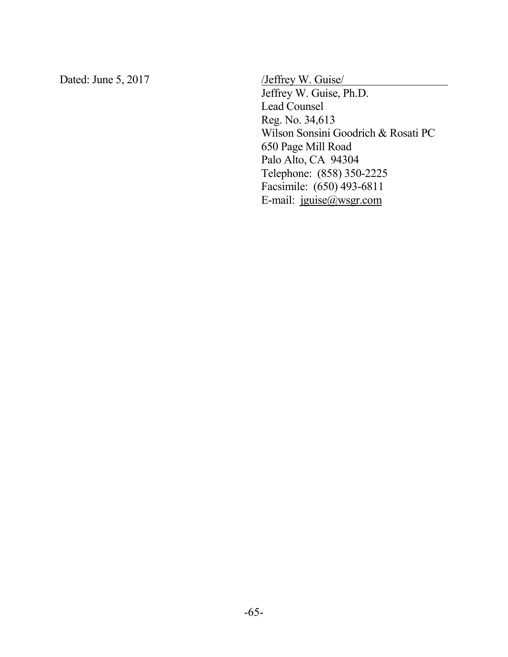Dated: June 5, 2017 /Jeffrey W. Guise

Jeffrey W. Guise, Ph.D. Lead Counsel Reg. No. 34,613 Wilson Sonsini Goodrich & Rosati PC 650 Page Mill Road Palo Alto, CA 94304 Telephone: (858) 350-2225 Facsimile: (650) 493-6811 E-mail: jguise@wsgr.com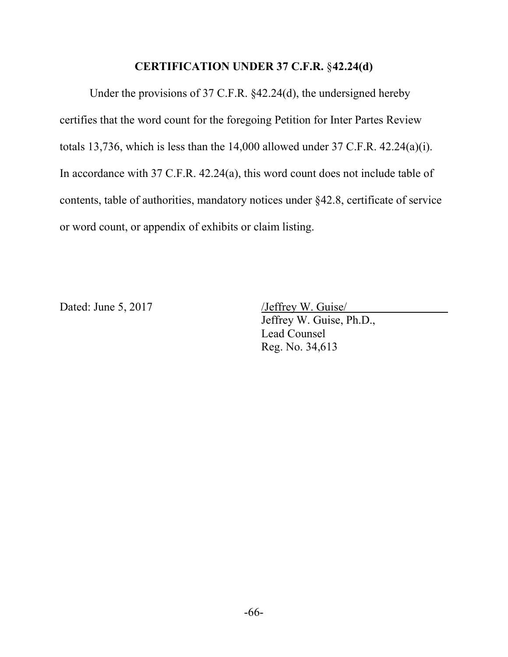#### **CERTIFICATION UNDER 37 C.F.R.** §**42.24(d)**

Under the provisions of 37 C.F.R. §42.24(d), the undersigned hereby certifies that the word count for the foregoing Petition for Inter Partes Review totals 13,736, which is less than the 14,000 allowed under 37 C.F.R. 42.24(a)(i). In accordance with 37 C.F.R. 42.24(a), this word count does not include table of contents, table of authorities, mandatory notices under §42.8, certificate of service or word count, or appendix of exhibits or claim listing.

Dated: June 5, 2017 /Jeffrey W. Guise

Jeffrey W. Guise, Ph.D., Lead Counsel Reg. No. 34,613